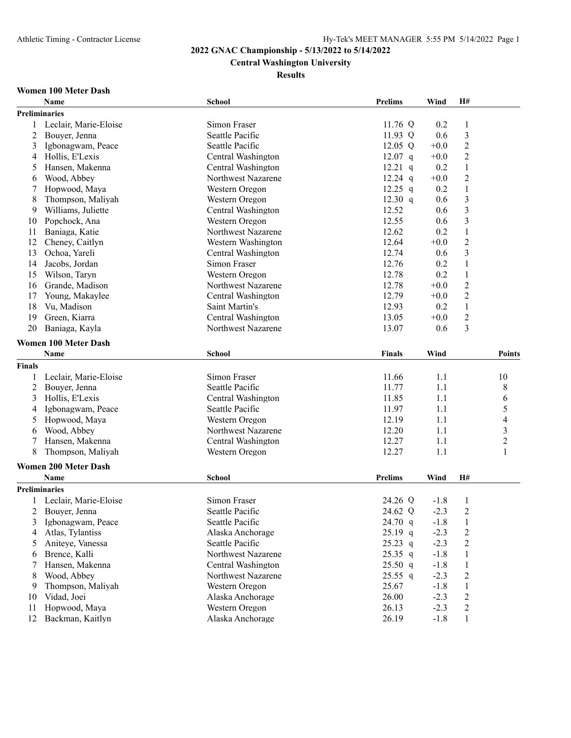# **Central Washington University**

**Results**

# **Women 100 Meter Dash**

|               | Name                        | <b>School</b>      | Prelims        | Wind   | H#                             |                          |
|---------------|-----------------------------|--------------------|----------------|--------|--------------------------------|--------------------------|
|               | <b>Preliminaries</b>        |                    |                |        |                                |                          |
| 1             | Leclair, Marie-Eloise       | Simon Fraser       | 11.76 Q        | 0.2    | $\mathbf{1}$                   |                          |
| 2             | Bouyer, Jenna               | Seattle Pacific    | 11.93 Q        | 0.6    | $\mathfrak{Z}$                 |                          |
| 3             | Igbonagwam, Peace           | Seattle Pacific    | 12.05 $Q$      | $+0.0$ | $\overline{c}$                 |                          |
| 4             | Hollis, E'Lexis             | Central Washington | $12.07$ q      | $+0.0$ | 2                              |                          |
| 5             | Hansen, Makenna             | Central Washington | $12.21$ q      | 0.2    | 1                              |                          |
| 6             | Wood, Abbey                 | Northwest Nazarene | $12.24$ q      | $+0.0$ | $\overline{c}$                 |                          |
|               | Hopwood, Maya               | Western Oregon     | 12.25 $q$      | 0.2    | $\mathbf{1}$                   |                          |
| 8             | Thompson, Maliyah           | Western Oregon     | 12.30 $q$      | 0.6    | $\overline{3}$                 |                          |
| 9             | Williams, Juliette          | Central Washington | 12.52          | 0.6    | $\mathfrak{Z}$                 |                          |
| 10            | Popchock, Ana               | Western Oregon     | 12.55          | 0.6    | $\mathfrak{Z}$                 |                          |
| 11            | Baniaga, Katie              | Northwest Nazarene | 12.62          | 0.2    | $\,1\,$                        |                          |
| 12            | Cheney, Caitlyn             | Western Washington | 12.64          | $+0.0$ | $\sqrt{2}$                     |                          |
| 13            | Ochoa, Yareli               | Central Washington | 12.74          | 0.6    | $\mathfrak{Z}$                 |                          |
| 14            | Jacobs, Jordan              | Simon Fraser       | 12.76          | 0.2    | 1                              |                          |
| 15            | Wilson, Taryn               | Western Oregon     | 12.78          | 0.2    | $\mathbf{1}$                   |                          |
| 16            | Grande, Madison             | Northwest Nazarene | 12.78          | $+0.0$ | $\overline{2}$                 |                          |
| 17            | Young, Makaylee             | Central Washington | 12.79          | $+0.0$ | 2                              |                          |
| 18            | Vu, Madison                 | Saint Martin's     | 12.93          | 0.2    | $\mathbf{1}$                   |                          |
| 19            | Green, Kiarra               | Central Washington | 13.05          | $+0.0$ | $\sqrt{2}$                     |                          |
| 20            | Baniaga, Kayla              | Northwest Nazarene | 13.07          | 0.6    | 3                              |                          |
|               |                             |                    |                |        |                                |                          |
|               | <b>Women 100 Meter Dash</b> |                    |                |        |                                |                          |
|               | <b>Name</b>                 | <b>School</b>      | <b>Finals</b>  | Wind   |                                | <b>Points</b>            |
| <b>Finals</b> |                             |                    |                |        |                                |                          |
| 1             | Leclair, Marie-Eloise       | Simon Fraser       | 11.66          | 1.1    |                                | 10                       |
| 2             | Bouyer, Jenna               | Seattle Pacific    | 11.77          | 1.1    |                                | $\,$ $\,$                |
| 3             | Hollis, E'Lexis             | Central Washington | 11.85          | 1.1    |                                | 6                        |
| 4             | Igbonagwam, Peace           | Seattle Pacific    | 11.97          | 1.1    |                                | 5                        |
| 5             | Hopwood, Maya               | Western Oregon     | 12.19          | 1.1    |                                | $\overline{\mathcal{L}}$ |
| 6             | Wood, Abbey                 | Northwest Nazarene | 12.20          | 1.1    |                                | 3                        |
|               | Hansen, Makenna             | Central Washington | 12.27          | 1.1    |                                | $\overline{c}$           |
| 8             | Thompson, Maliyah           | Western Oregon     | 12.27          | 1.1    |                                | $\mathbf{1}$             |
|               | <b>Women 200 Meter Dash</b> |                    |                |        |                                |                          |
|               | Name                        | <b>School</b>      | <b>Prelims</b> | Wind   | H#                             |                          |
|               | <b>Preliminaries</b>        |                    |                |        |                                |                          |
|               | Leclair, Marie-Eloise       | Simon Fraser       | 24.26 Q        | $-1.8$ | $\mathbf{1}$                   |                          |
|               | 2 Bouyer, Jenna             | Seattle Pacific    | 24.62 Q        | $-2.3$ | $\overline{2}$                 |                          |
| 3             | Igbonagwam, Peace           | Seattle Pacific    | 24.70 q        | $-1.8$ | $\mathbf{1}$                   |                          |
| 4             | Atlas, Tylantiss            | Alaska Anchorage   | $25.19$ q      | $-2.3$ | $\boldsymbol{2}$               |                          |
| 5             | Aniteye, Vanessa            | Seattle Pacific    | $25.23$ q      | $-2.3$ | $\overline{c}$                 |                          |
| 6             | Brence, Kalli               | Northwest Nazarene | 25.35 q        | $-1.8$ | $\mathbf{1}$                   |                          |
| 7             | Hansen, Makenna             | Central Washington | 25.50 q        | $-1.8$ | $\mathbf{1}$                   |                          |
| 8             | Wood, Abbey                 | Northwest Nazarene | $25.55$ q      | $-2.3$ |                                |                          |
| 9             | Thompson, Maliyah           | Western Oregon     | 25.67          | $-1.8$ | 2                              |                          |
| 10            | Vidad, Joei                 | Alaska Anchorage   | 26.00          | $-2.3$ | $\mathbf{1}$<br>$\overline{c}$ |                          |
| 11            | Hopwood, Maya               | Western Oregon     | 26.13          | $-2.3$ | $\boldsymbol{2}$               |                          |
| 12            | Backman, Kaitlyn            | Alaska Anchorage   | 26.19          | $-1.8$ | 1                              |                          |
|               |                             |                    |                |        |                                |                          |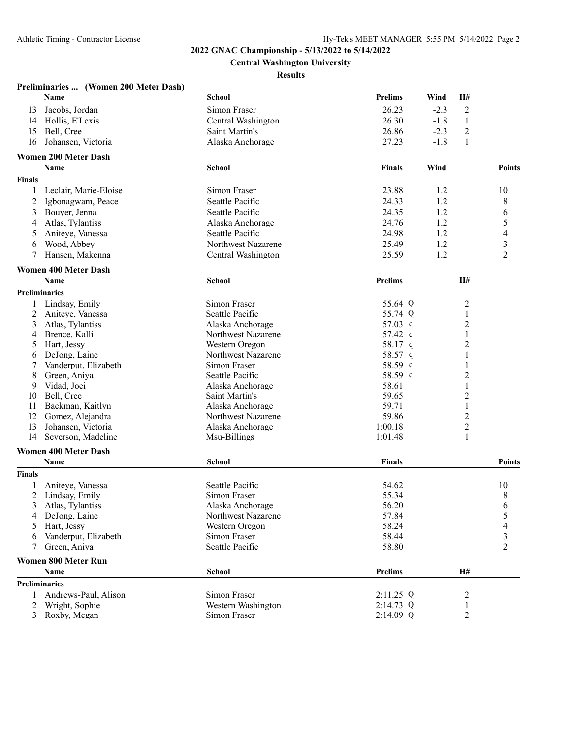**Central Washington University**

### **Results**

|                | Preliminaries  (Women 200 Meter Dash) |                    |                |        |                              |                          |
|----------------|---------------------------------------|--------------------|----------------|--------|------------------------------|--------------------------|
|                | Name                                  | <b>School</b>      | <b>Prelims</b> | Wind   | H#                           |                          |
| 13             | Jacobs, Jordan                        | Simon Fraser       | 26.23          | $-2.3$ | $\boldsymbol{2}$             |                          |
|                | 14 Hollis, E'Lexis                    | Central Washington | 26.30          | $-1.8$ | $\mathbf{1}$                 |                          |
| 15             | Bell, Cree                            | Saint Martin's     | 26.86          | $-2.3$ | $\overline{c}$               |                          |
| 16             | Johansen, Victoria                    | Alaska Anchorage   | 27.23          | $-1.8$ | 1                            |                          |
|                | <b>Women 200 Meter Dash</b>           |                    |                |        |                              |                          |
|                | Name                                  | <b>School</b>      | <b>Finals</b>  | Wind   |                              | <b>Points</b>            |
| <b>Finals</b>  |                                       |                    |                |        |                              |                          |
| 1              | Leclair, Marie-Eloise                 | Simon Fraser       | 23.88          | 1.2    |                              | 10                       |
| 2              | Igbonagwam, Peace                     | Seattle Pacific    | 24.33          | 1.2    |                              | 8                        |
| 3              | Bouyer, Jenna                         | Seattle Pacific    | 24.35          | 1.2    |                              | 6                        |
| 4              | Atlas, Tylantiss                      | Alaska Anchorage   | 24.76          | 1.2    |                              | 5                        |
| 5              | Aniteye, Vanessa                      | Seattle Pacific    | 24.98          | 1.2    |                              | $\overline{\mathcal{A}}$ |
| 6              | Wood, Abbey                           | Northwest Nazarene | 25.49          | 1.2    |                              | $\overline{\mathbf{3}}$  |
| 7              | Hansen, Makenna                       | Central Washington | 25.59          | 1.2    |                              | $\overline{2}$           |
|                |                                       |                    |                |        |                              |                          |
|                | <b>Women 400 Meter Dash</b>           |                    |                |        |                              |                          |
|                | <b>Name</b>                           | <b>School</b>      | <b>Prelims</b> |        | H#                           |                          |
|                | <b>Preliminaries</b>                  |                    |                |        |                              |                          |
|                | 1 Lindsay, Emily                      | Simon Fraser       | 55.64 Q        |        | $\overline{c}$               |                          |
| 2              | Aniteye, Vanessa                      | Seattle Pacific    | 55.74 Q        |        | 1                            |                          |
| 3              | Atlas, Tylantiss                      | Alaska Anchorage   | 57.03 q        |        | $\overline{c}$               |                          |
| 4              | Brence, Kalli                         | Northwest Nazarene | 57.42 q        |        | 1                            |                          |
| 5              | Hart, Jessy                           | Western Oregon     | 58.17 q        |        | $\overline{2}$               |                          |
| 6              | DeJong, Laine                         | Northwest Nazarene | 58.57 q        |        | 1                            |                          |
| 7              | Vanderput, Elizabeth                  | Simon Fraser       | 58.59 q        |        | 1                            |                          |
| 8              | Green, Aniya                          | Seattle Pacific    | 58.59 q        |        | $\overline{c}$               |                          |
| 9              | Vidad, Joei                           | Alaska Anchorage   | 58.61          |        | 1                            |                          |
| 10             | Bell, Cree                            | Saint Martin's     | 59.65          |        | $\overline{c}$               |                          |
| 11             | Backman, Kaitlyn                      | Alaska Anchorage   | 59.71          |        | $\mathbf{1}$                 |                          |
| 12             | Gomez, Alejandra                      | Northwest Nazarene | 59.86          |        | $\overline{\mathbf{c}}$      |                          |
| 13             | Johansen, Victoria                    | Alaska Anchorage   | 1:00.18        |        | $\overline{\mathbf{c}}$<br>1 |                          |
| 14             | Severson, Madeline                    | Msu-Billings       | 1:01.48        |        |                              |                          |
|                | <b>Women 400 Meter Dash</b>           |                    |                |        |                              |                          |
|                | Name                                  | <b>School</b>      | <b>Finals</b>  |        |                              | <b>Points</b>            |
| <b>Finals</b>  |                                       |                    |                |        |                              |                          |
|                | Aniteye, Vanessa                      | Seattle Pacific    | 54.62          |        |                              | 10                       |
| 2              | Lindsay, Emily                        | Simon Fraser       | 55.34          |        |                              | 8                        |
| 3              | Atlas, Tylantiss                      | Alaska Anchorage   | 56.20          |        |                              | 6                        |
| 4              | DeJong, Laine                         | Northwest Nazarene | 57.84          |        |                              | 5                        |
| 5              | Hart, Jessy                           | Western Oregon     | 58.24          |        |                              | $\overline{4}$           |
| 6              | Vanderput, Elizabeth                  | Simon Fraser       | 58.44          |        |                              | 3                        |
| 7              | Green, Aniya                          | Seattle Pacific    | 58.80          |        |                              | $\overline{2}$           |
|                | <b>Women 800 Meter Run</b>            |                    |                |        |                              |                          |
|                | Name                                  | <b>School</b>      | <b>Prelims</b> |        | H#                           |                          |
|                | <b>Preliminaries</b>                  |                    |                |        |                              |                          |
| $\mathbf{1}$   | Andrews-Paul, Alison                  | Simon Fraser       | 2:11.25 Q      |        | $\overline{c}$               |                          |
| 2              | Wright, Sophie                        | Western Washington | 2:14.73 Q      |        | 1                            |                          |
| $\mathfrak{Z}$ | Roxby, Megan                          | Simon Fraser       | 2:14.09 Q      |        | $\overline{2}$               |                          |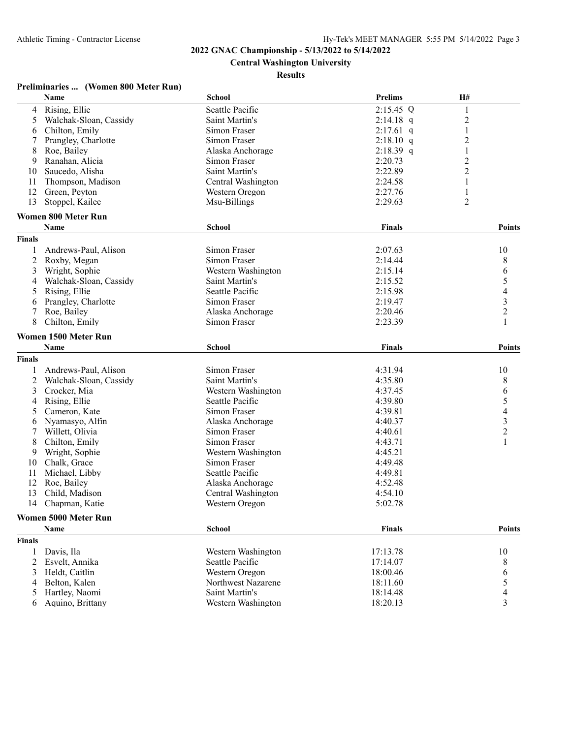**Central Washington University**

### **Results**

# **Preliminaries ... (Women 800 Meter Run)**

|                | Name                       | <b>School</b>      | <b>Prelims</b> | H#                       |
|----------------|----------------------------|--------------------|----------------|--------------------------|
| 4              | Rising, Ellie              | Seattle Pacific    | $2:15.45$ Q    | 1                        |
| 5              | Walchak-Sloan, Cassidy     | Saint Martin's     | $2:14.18$ q    | $\overline{\mathbf{c}}$  |
| 6              | Chilton, Emily             | Simon Fraser       | $2:17.61$ q    | $\mathbf{1}$             |
| 7              | Prangley, Charlotte        | Simon Fraser       | $2:18.10$ q    | $\overline{c}$           |
| 8              | Roe, Bailey                | Alaska Anchorage   | $2:18.39$ q    | $\mathbf{1}$             |
| 9              | Ranahan, Alicia            | Simon Fraser       | 2:20.73        | $\overline{c}$           |
| 10             | Saucedo, Alisha            | Saint Martin's     | 2:22.89        | $\overline{c}$           |
| 11             | Thompson, Madison          | Central Washington | 2:24.58        | $\mathbf{1}$             |
| 12             | Green, Peyton              | Western Oregon     | 2:27.76        | 1                        |
| 13             | Stoppel, Kailee            | Msu-Billings       | 2:29.63        | 2                        |
|                |                            |                    |                |                          |
|                | <b>Women 800 Meter Run</b> |                    |                |                          |
|                | Name                       | School             | Finals         | Points                   |
| <b>Finals</b>  |                            |                    |                |                          |
| 1              | Andrews-Paul, Alison       | Simon Fraser       | 2:07.63        | 10                       |
| $\overline{2}$ | Roxby, Megan               | Simon Fraser       | 2:14.44        | 8                        |
| 3              | Wright, Sophie             | Western Washington | 2:15.14        | 6                        |
| 4              | Walchak-Sloan, Cassidy     | Saint Martin's     | 2:15.52        | 5                        |
| 5              | Rising, Ellie              | Seattle Pacific    | 2:15.98        | $\overline{\mathcal{A}}$ |
| 6              | Prangley, Charlotte        | Simon Fraser       | 2:19.47        | $\frac{3}{2}$            |
| 7              | Roe, Bailey                | Alaska Anchorage   | 2:20.46        |                          |
| 8              | Chilton, Emily             | Simon Fraser       | 2:23.39        | $\mathbf{1}$             |
|                | Women 1500 Meter Run       |                    |                |                          |
|                | Name                       | <b>School</b>      | Finals         | <b>Points</b>            |
| <b>Finals</b>  |                            |                    |                |                          |
| 1              | Andrews-Paul, Alison       | Simon Fraser       | 4:31.94        | 10                       |
|                | Walchak-Sloan, Cassidy     | Saint Martin's     | 4:35.80        |                          |
| 2              |                            |                    |                | 8                        |
| 3              | Crocker, Mia               | Western Washington | 4:37.45        | 6                        |
| 4              | Rising, Ellie              | Seattle Pacific    | 4:39.80        | $\sqrt{5}$               |
| 5              | Cameron, Kate              | Simon Fraser       | 4:39.81        | $\overline{\mathcal{L}}$ |
| 6              | Nyamasyo, Alfin            | Alaska Anchorage   | 4:40.37        | $\mathfrak{Z}$           |
| 7              | Willett, Olivia            | Simon Fraser       | 4:40.61        | $\sqrt{2}$               |
| 8              | Chilton, Emily             | Simon Fraser       | 4:43.71        | 1                        |
| 9              | Wright, Sophie             | Western Washington | 4:45.21        |                          |
| 10             | Chalk, Grace               | Simon Fraser       | 4:49.48        |                          |
| 11             | Michael, Libby             | Seattle Pacific    | 4:49.81        |                          |
| 12             | Roe, Bailey                | Alaska Anchorage   | 4:52.48        |                          |
| 13             | Child, Madison             | Central Washington | 4:54.10        |                          |
| 14             | Chapman, Katie             | Western Oregon     | 5:02.78        |                          |
|                | Women 5000 Meter Run       |                    |                |                          |
|                | <b>Name</b>                | <b>School</b>      | <b>Finals</b>  | <b>Points</b>            |
| <b>Finals</b>  |                            |                    |                |                          |
| -1             | Davis, Ila                 | Western Washington | 17:13.78       | 10                       |
| 2              | Esvelt, Annika             | Seattle Pacific    | 17:14.07       | 8                        |
| 3              | Heldt, Caitlin             | Western Oregon     | 18:00.46       | 6                        |
| 4              | Belton, Kalen              | Northwest Nazarene | 18:11.60       | 5                        |
| 5              | Hartley, Naomi             | Saint Martin's     | 18:14.48       | 4                        |
| 6              | Aquino, Brittany           | Western Washington | 18:20.13       | 3                        |
|                |                            |                    |                |                          |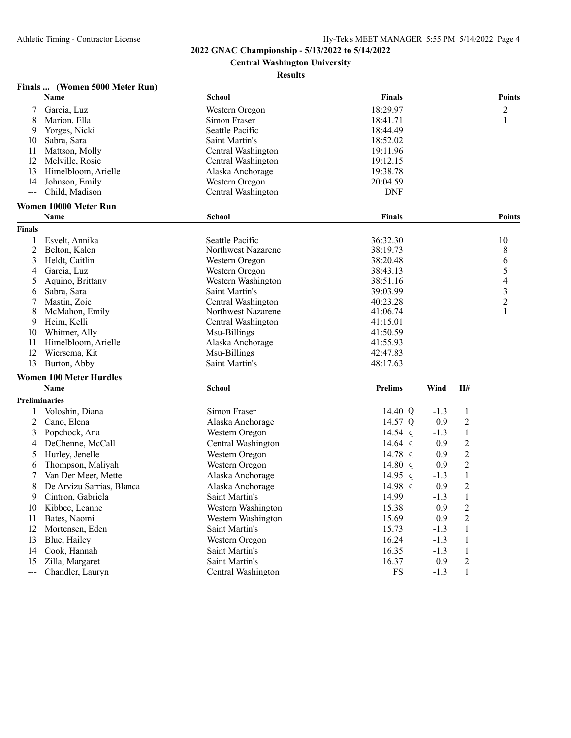# **Central Washington University**

### **Results**

# **Finals ... (Women 5000 Meter Run)**

|                | Name                           | <b>School</b>      | <b>Finals</b>  |        |                | <b>Points</b>            |
|----------------|--------------------------------|--------------------|----------------|--------|----------------|--------------------------|
| $\tau$         | Garcia, Luz                    | Western Oregon     | 18:29.97       |        |                | $\overline{c}$           |
| 8              | Marion, Ella                   | Simon Fraser       | 18:41.71       |        |                | 1                        |
| 9              | Yorges, Nicki                  | Seattle Pacific    | 18:44.49       |        |                |                          |
| 10             | Sabra, Sara                    | Saint Martin's     | 18:52.02       |        |                |                          |
| 11             | Mattson, Molly                 | Central Washington | 19:11.96       |        |                |                          |
| 12             | Melville, Rosie                | Central Washington | 19:12.15       |        |                |                          |
| 13             | Himelbloom, Arielle            | Alaska Anchorage   | 19:38.78       |        |                |                          |
| 14             | Johnson, Emily                 | Western Oregon     | 20:04.59       |        |                |                          |
| $\overline{a}$ | Child, Madison                 | Central Washington | <b>DNF</b>     |        |                |                          |
|                | Women 10000 Meter Run          |                    |                |        |                |                          |
|                | <b>Name</b>                    | <b>School</b>      | <b>Finals</b>  |        |                | <b>Points</b>            |
| Finals         |                                |                    |                |        |                |                          |
| 1              | Esvelt, Annika                 | Seattle Pacific    | 36:32.30       |        |                | 10                       |
| 2              | Belton, Kalen                  | Northwest Nazarene | 38:19.73       |        |                | 8                        |
| 3              | Heldt, Caitlin                 | Western Oregon     | 38:20.48       |        |                | 6                        |
| 4              | Garcia, Luz                    | Western Oregon     | 38:43.13       |        |                | 5                        |
| 5              | Aquino, Brittany               | Western Washington | 38:51.16       |        |                | $\overline{\mathcal{L}}$ |
| 6              | Sabra, Sara                    | Saint Martin's     | 39:03.99       |        |                | 3                        |
| 7              | Mastin, Zoie                   | Central Washington | 40:23.28       |        |                | $\overline{c}$           |
| 8              | McMahon, Emily                 | Northwest Nazarene | 41:06.74       |        |                | 1                        |
| 9              | Heim, Kelli                    | Central Washington | 41:15.01       |        |                |                          |
| 10             | Whitmer, Ally                  | Msu-Billings       | 41:50.59       |        |                |                          |
| 11             | Himelbloom, Arielle            | Alaska Anchorage   | 41:55.93       |        |                |                          |
| 12             | Wiersema, Kit                  | Msu-Billings       | 42:47.83       |        |                |                          |
| 13             | Burton, Abby                   | Saint Martin's     | 48:17.63       |        |                |                          |
|                | <b>Women 100 Meter Hurdles</b> |                    |                |        |                |                          |
|                | <b>Name</b>                    | <b>School</b>      | <b>Prelims</b> | Wind   | <b>H#</b>      |                          |
|                | <b>Preliminaries</b>           |                    |                |        |                |                          |
| 1              | Voloshin, Diana                | Simon Fraser       | 14.40 Q        | $-1.3$ | $\mathbf{1}$   |                          |
| 2              | Cano, Elena                    | Alaska Anchorage   | 14.57 Q        | 0.9    | $\overline{2}$ |                          |
| 3              | Popchock, Ana                  | Western Oregon     | 14.54 $q$      | $-1.3$ | $\mathbf{1}$   |                          |
| 4              | DeChenne, McCall               | Central Washington | 14.64 $q$      | 0.9    | $\overline{2}$ |                          |
| 5              | Hurley, Jenelle                | Western Oregon     | 14.78 $q$      | 0.9    | $\overline{c}$ |                          |
| 6              | Thompson, Maliyah              | Western Oregon     | 14.80 $q$      | 0.9    | $\overline{c}$ |                          |
| 7              | Van Der Meer, Mette            | Alaska Anchorage   | 14.95 q        | $-1.3$ | $\mathbf{1}$   |                          |
| 8              | De Arvizu Sarrias, Blanca      | Alaska Anchorage   | 14.98 q        | 0.9    | $\overline{2}$ |                          |
| 9              | Cintron, Gabriela              | Saint Martin's     | 14.99          | $-1.3$ | $\mathbf{1}$   |                          |
|                | Kibbee, Leanne                 | Western Washington |                |        | $\overline{2}$ |                          |
| 10             |                                |                    | 15.38          | 0.9    | $\overline{2}$ |                          |
| 11             | Bates, Naomi                   | Western Washington | 15.69          | 0.9    |                |                          |
| 12             | Mortensen, Eden                | Saint Martin's     | 15.73          | $-1.3$ | $\mathbf{1}$   |                          |
| 13             | Blue, Hailey                   | Western Oregon     | 16.24          | $-1.3$ | $\mathbf{1}$   |                          |
| 14             | Cook, Hannah                   | Saint Martin's     | 16.35          | $-1.3$ | $\,1$          |                          |
| 15             | Zilla, Margaret                | Saint Martin's     | 16.37          | 0.9    | $\overline{c}$ |                          |
| $---$          | Chandler, Lauryn               | Central Washington | <b>FS</b>      | $-1.3$ | 1              |                          |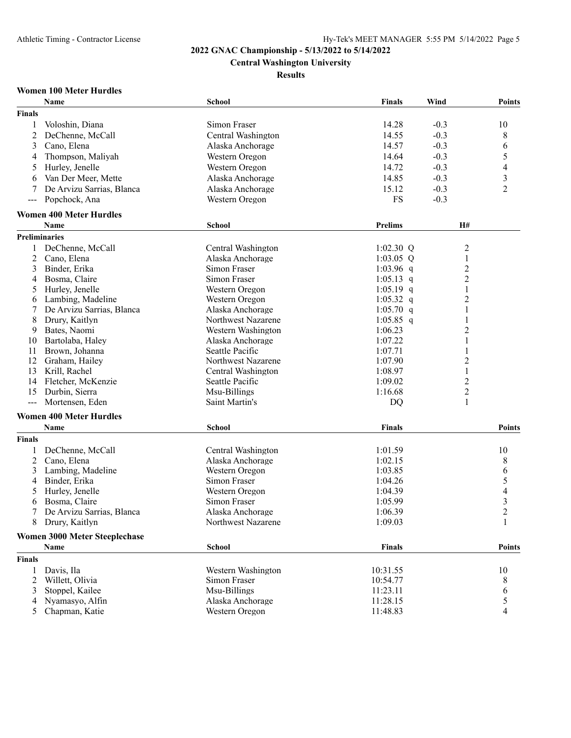**Central Washington University**

**Results**

# **Women 100 Meter Hurdles**

|                     | Name                                 | <b>School</b>      | <b>Finals</b>  | Wind             | <b>Points</b>  |
|---------------------|--------------------------------------|--------------------|----------------|------------------|----------------|
| Finals              |                                      |                    |                |                  |                |
| 1                   | Voloshin, Diana                      | Simon Fraser       | 14.28          | $-0.3$           | 10             |
| 2                   | DeChenne, McCall                     | Central Washington | 14.55          | $-0.3$           | 8              |
| 3                   | Cano, Elena                          | Alaska Anchorage   | 14.57          | $-0.3$           | 6              |
| 4                   | Thompson, Maliyah                    | Western Oregon     | 14.64          | $-0.3$           | 5              |
| 5                   | Hurley, Jenelle                      | Western Oregon     | 14.72          | $-0.3$           | 4              |
| 6                   | Van Der Meer, Mette                  | Alaska Anchorage   | 14.85          | $-0.3$           | 3              |
|                     | De Arvizu Sarrias, Blanca            |                    | 15.12          | $-0.3$           | 2              |
| 7                   |                                      | Alaska Anchorage   |                |                  |                |
| $\qquad \qquad - -$ | Popchock, Ana                        | Western Oregon     | <b>FS</b>      | $-0.3$           |                |
|                     | <b>Women 400 Meter Hurdles</b>       |                    |                |                  |                |
|                     | <b>Name</b>                          | School             | <b>Prelims</b> | H#               |                |
|                     | Preliminaries                        |                    |                |                  |                |
| 1                   | DeChenne, McCall                     | Central Washington | $1:02.30$ Q    | 2                |                |
| 2                   | Cano, Elena                          | Alaska Anchorage   | $1:03.05$ Q    | $\mathbf{1}$     |                |
| 3                   | Binder, Erika                        | Simon Fraser       | 1:03.96 q      | $\overline{c}$   |                |
| 4                   | Bosma, Claire                        | Simon Fraser       | $1:05.13$ q    | $\overline{2}$   |                |
| 5                   | Hurley, Jenelle                      | Western Oregon     | $1:05.19$ q    | 1                |                |
| 6                   | Lambing, Madeline                    | Western Oregon     | 1:05.32 q      | $\overline{c}$   |                |
| 7                   | De Arvizu Sarrias, Blanca            | Alaska Anchorage   | $1:05.70$ q    | $\mathbf{1}$     |                |
| 8                   | Drury, Kaitlyn                       | Northwest Nazarene | $1:05.85$ q    | 1                |                |
| 9                   | Bates, Naomi                         | Western Washington | 1:06.23        | $\overline{2}$   |                |
| 10                  | Bartolaba, Haley                     | Alaska Anchorage   | 1:07.22        | 1                |                |
| 11                  | Brown, Johanna                       | Seattle Pacific    | 1:07.71        | 1                |                |
| 12                  | Graham, Hailey                       | Northwest Nazarene | 1:07.90        | $\overline{c}$   |                |
| 13                  | Krill, Rachel                        | Central Washington | 1:08.97        | $\mathbf{1}$     |                |
| 14                  | Fletcher, McKenzie                   | Seattle Pacific    | 1:09.02        | $\overline{2}$   |                |
| 15                  | Durbin, Sierra                       | Msu-Billings       | 1:16.68        | $\boldsymbol{2}$ |                |
| $---$               | Mortensen, Eden                      | Saint Martin's     | DQ             | 1                |                |
|                     |                                      |                    |                |                  |                |
|                     | <b>Women 400 Meter Hurdles</b>       |                    |                |                  |                |
|                     | <b>Name</b>                          | School             | <b>Finals</b>  |                  | <b>Points</b>  |
| <b>Finals</b>       |                                      |                    |                |                  |                |
| 1                   | DeChenne, McCall                     | Central Washington | 1:01.59        |                  | 10             |
| 2                   | Cano, Elena                          | Alaska Anchorage   | 1:02.15        |                  | 8              |
| 3                   | Lambing, Madeline                    | Western Oregon     | 1:03.85        |                  | 6              |
| 4                   | Binder, Erika                        | Simon Fraser       | 1:04.26        |                  | 5              |
| 5                   | Hurley, Jenelle                      | Western Oregon     | 1:04.39        |                  | 4              |
| 6                   | Bosma, Claire                        | Simon Fraser       | 1:05.99        |                  | 3              |
| 7                   | De Arvizu Sarrias, Blanca            | Alaska Anchorage   | 1:06.39        |                  | $\overline{2}$ |
| 8                   | Drury, Kaitlyn                       | Northwest Nazarene | 1:09.03        |                  | 1              |
|                     | <b>Women 3000 Meter Steeplechase</b> |                    |                |                  |                |
|                     |                                      |                    |                |                  |                |
|                     | Name                                 | <b>School</b>      | <b>Finals</b>  |                  | <b>Points</b>  |
| Finals              |                                      |                    |                |                  |                |
| 1                   | Davis, Ila                           | Western Washington | 10:31.55       |                  | 10             |
| 2                   | Willett, Olivia                      | Simon Fraser       | 10:54.77       |                  | 8              |
| 3                   | Stoppel, Kailee                      | Msu-Billings       | 11:23.11       |                  | 6              |
| 4                   | Nyamasyo, Alfin                      | Alaska Anchorage   | 11:28.15       |                  | 5              |
| 5                   | Chapman, Katie                       | Western Oregon     | 11:48.83       |                  | 4              |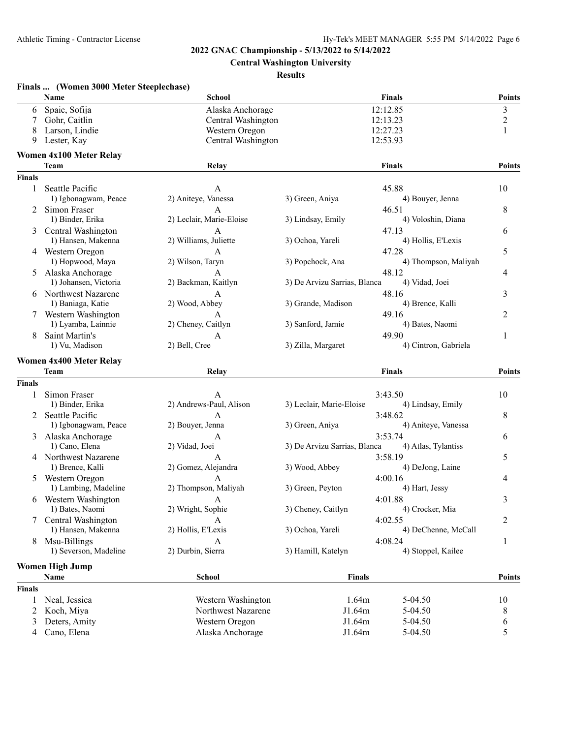**Central Washington University**

### **Results**

|               | Finals  (Women 3000 Meter Steeplechase) |                          |                              |                      |                |
|---------------|-----------------------------------------|--------------------------|------------------------------|----------------------|----------------|
|               | Name                                    | School                   |                              | <b>Finals</b>        | <b>Points</b>  |
| 6             | Spaic, Sofija                           | Alaska Anchorage         |                              | 12:12.85             | 3              |
| 7             | Gohr, Caitlin                           | Central Washington       |                              | 12:13.23             | $\overline{c}$ |
| 8             | Larson, Lindie                          | Western Oregon           |                              | 12:27.23             | 1              |
| 9             | Lester, Kay                             | Central Washington       |                              | 12:53.93             |                |
|               | <b>Women 4x100 Meter Relay</b>          |                          |                              |                      |                |
|               | <b>Team</b>                             | Relay                    |                              | <b>Finals</b>        | <b>Points</b>  |
| <b>Finals</b> |                                         |                          |                              |                      |                |
| 1             | Seattle Pacific                         | A                        |                              | 45.88                | 10             |
|               | 1) Igbonagwam, Peace                    | 2) Aniteye, Vanessa      | 3) Green, Aniya              | 4) Bouyer, Jenna     |                |
|               | Simon Fraser                            | A                        |                              | 46.51                | 8              |
|               | 1) Binder, Erika                        | 2) Leclair, Marie-Eloise | 3) Lindsay, Emily            | 4) Voloshin, Diana   |                |
|               | Central Washington                      | A                        |                              | 47.13                | 6              |
|               | 1) Hansen, Makenna                      | 2) Williams, Juliette    | 3) Ochoa, Yareli             | 4) Hollis, E'Lexis   |                |
|               | 4 Western Oregon                        | A                        |                              | 47.28                | 5              |
|               | 1) Hopwood, Maya                        | 2) Wilson, Taryn         | 3) Popchock, Ana             | 4) Thompson, Maliyah |                |
|               | Alaska Anchorage                        | А                        |                              | 48.12                | 4              |
|               | 1) Johansen, Victoria                   | 2) Backman, Kaitlyn      | 3) De Arvizu Sarrias, Blanca | 4) Vidad, Joei       |                |
|               | 6 Northwest Nazarene                    | A                        |                              | 48.16                | 3              |
|               | 1) Baniaga, Katie                       | 2) Wood, Abbey           | 3) Grande, Madison           | 4) Brence, Kalli     |                |
|               | 7 Western Washington                    | A                        |                              | 49.16                | 2              |
|               | 1) Lyamba, Lainnie                      | 2) Cheney, Caitlyn       | 3) Sanford, Jamie            | 4) Bates, Naomi      |                |
| 8             | Saint Martin's                          | A                        |                              | 49.90                | 1              |
|               | 1) Vu, Madison                          | 2) Bell, Cree            | 3) Zilla, Margaret           | 4) Cintron, Gabriela |                |
|               |                                         |                          |                              |                      |                |
|               | <b>Women 4x400 Meter Relay</b>          |                          |                              |                      |                |
|               | <b>Team</b>                             | Relay                    |                              | <b>Finals</b>        | <b>Points</b>  |
| <b>Finals</b> |                                         |                          |                              |                      |                |
| 1             | Simon Fraser                            | A                        |                              | 3:43.50              | 10             |
|               | 1) Binder, Erika                        | 2) Andrews-Paul, Alison  | 3) Leclair, Marie-Eloise     | 4) Lindsay, Emily    |                |
|               | 2 Seattle Pacific                       | A                        |                              | 3:48.62              | 8              |
|               | 1) Igbonagwam, Peace                    | 2) Bouyer, Jenna         | 3) Green, Aniya              | 4) Aniteye, Vanessa  |                |
| 3             | Alaska Anchorage                        | А                        |                              | 3:53.74              | 6              |
|               | 1) Cano, Elena                          | 2) Vidad, Joei           | 3) De Arvizu Sarrias, Blanca | 4) Atlas, Tylantiss  |                |
|               | 4 Northwest Nazarene                    | A                        |                              | 3:58.19              | 5              |
|               | 1) Brence, Kalli                        | 2) Gomez, Alejandra      | 3) Wood, Abbey               | 4) DeJong, Laine     |                |
|               | 5 Western Oregon                        |                          |                              | 4:00.16              | 4              |
|               | 1) Lambing, Madeline                    | 2) Thompson, Maliyah     | 3) Green, Peyton             | 4) Hart, Jessy       |                |
|               | 6 Western Washington                    | $\overline{A}$           |                              | 4:01.88              | 3              |
|               | 1) Bates, Naomi                         | 2) Wright, Sophie        | 3) Cheney, Caitlyn           | 4) Crocker, Mia      |                |
|               | 7 Central Washington                    | A                        |                              | 4:02.55              | 2              |
|               | 1) Hansen, Makenna                      | 2) Hollis, E'Lexis       | 3) Ochoa, Yareli             | 4) DeChenne, McCall  |                |
| 8             | Msu-Billings                            | A                        |                              | 4:08.24              | 1              |
|               | 1) Severson, Madeline                   | 2) Durbin, Sierra        | 3) Hamill, Katelyn           | 4) Stoppel, Kailee   |                |
|               |                                         |                          |                              |                      |                |
|               | <b>Women High Jump</b>                  |                          |                              |                      |                |
|               | Name                                    | <b>School</b>            | <b>Finals</b>                |                      | <b>Points</b>  |
| <b>Finals</b> |                                         |                          |                              |                      |                |
| 1             | Neal, Jessica                           | Western Washington       | 1.64m                        | 5-04.50              | 10             |
| 2             | Koch, Miya                              | Northwest Nazarene       | J1.64m                       | 5-04.50              | 8              |
| 3             | Deters, Amity                           | Western Oregon           | J1.64m                       | 5-04.50              | 6              |
| 4             | Cano, Elena                             | Alaska Anchorage         | J1.64m                       | 5-04.50              | 5              |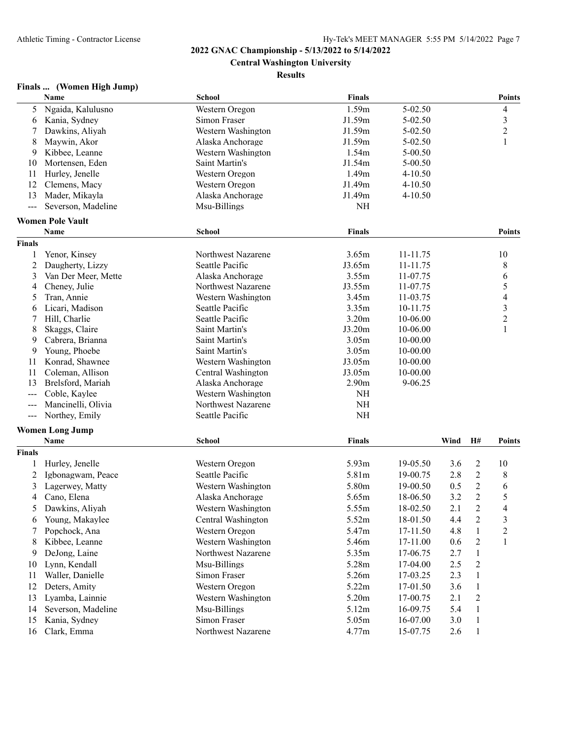**Central Washington University**

### **Results**

# **Finals ... (Women High Jump)**

|                | Name                           | <b>School</b>      | <b>Finals</b>     |              |      |                | <b>Points</b>  |
|----------------|--------------------------------|--------------------|-------------------|--------------|------|----------------|----------------|
| 5              | Ngaida, Kalulusno              | Western Oregon     | 1.59m             | 5-02.50      |      |                | 4              |
| 6              | Kania, Sydney                  | Simon Fraser       | J1.59m            | 5-02.50      |      |                | $\mathfrak{Z}$ |
| 7              | Dawkins, Aliyah                | Western Washington | J1.59m            | 5-02.50      |      |                | $\overline{c}$ |
| 8              | Maywin, Akor                   | Alaska Anchorage   | J1.59m            | 5-02.50      |      |                | 1              |
| 9              | Kibbee, Leanne                 | Western Washington | 1.54m             | 5-00.50      |      |                |                |
| 10             | Mortensen, Eden                | Saint Martin's     | J1.54m            | 5-00.50      |      |                |                |
| 11             | Hurley, Jenelle                | Western Oregon     | 1.49 <sub>m</sub> | $4 - 10.50$  |      |                |                |
| 12             | Clemens, Macy                  | Western Oregon     | J1.49m            | $4 - 10.50$  |      |                |                |
| 13             | Mader, Mikayla                 | Alaska Anchorage   | J1.49m            | 4-10.50      |      |                |                |
| $\frac{1}{2}$  | Severson, Madeline             | Msu-Billings       | NH                |              |      |                |                |
|                | <b>Women Pole Vault</b>        |                    |                   |              |      |                |                |
|                | Name                           | School             | <b>Finals</b>     |              |      |                | <b>Points</b>  |
| <b>Finals</b>  |                                |                    |                   |              |      |                |                |
| 1              | Yenor, Kinsey                  | Northwest Nazarene | 3.65m             | 11-11.75     |      |                | 10             |
| $\overline{2}$ | Daugherty, Lizzy               | Seattle Pacific    | J3.65m            | 11-11.75     |      |                | 8              |
| 3              | Van Der Meer, Mette            | Alaska Anchorage   | 3.55m             | 11-07.75     |      |                | 6              |
| 4              | Cheney, Julie                  | Northwest Nazarene | J3.55m            | 11-07.75     |      |                | 5              |
| 5              | Tran, Annie                    | Western Washington | 3.45m             | 11-03.75     |      |                | 4              |
| 6              | Licari, Madison                | Seattle Pacific    | 3.35m             | 10-11.75     |      |                | 3              |
| 7              | Hill, Charlie                  | Seattle Pacific    | 3.20 <sub>m</sub> | 10-06.00     |      |                | $\overline{c}$ |
| 8              | Skaggs, Claire                 | Saint Martin's     | J3.20m            | 10-06.00     |      |                | 1              |
| 9              | Cabrera, Brianna               | Saint Martin's     | 3.05m             | 10-00.00     |      |                |                |
| 9              | Young, Phoebe                  | Saint Martin's     | 3.05m             | $10 - 00.00$ |      |                |                |
| 11             | Konrad, Shawnee                | Western Washington | J3.05m            | 10-00.00     |      |                |                |
| 11             | Coleman, Allison               | Central Washington | J3.05m            | 10-00.00     |      |                |                |
| 13             | Brelsford, Mariah              | Alaska Anchorage   | 2.90 <sub>m</sub> | 9-06.25      |      |                |                |
| ---            | Coble, Kaylee                  | Western Washington | $\rm NH$          |              |      |                |                |
| $\sim$ $\sim$  | Mancinelli, Olivia             | Northwest Nazarene | $\rm NH$          |              |      |                |                |
| $\frac{1}{2}$  | Northey, Emily                 | Seattle Pacific    | $\rm NH$          |              |      |                |                |
|                |                                |                    |                   |              |      |                |                |
|                | <b>Women Long Jump</b><br>Name | School             | <b>Finals</b>     |              | Wind | H#             | <b>Points</b>  |
| <b>Finals</b>  |                                |                    |                   |              |      |                |                |
| 1              | Hurley, Jenelle                | Western Oregon     | 5.93m             | 19-05.50     | 3.6  | $\overline{c}$ | 10             |
| 2              | Igbonagwam, Peace              | Seattle Pacific    | 5.81m             | 19-00.75     | 2.8  | $\overline{c}$ | 8              |
|                |                                |                    | 5.80m             | 19-00.50     |      |                |                |
| 3              | Lagerwey, Matty                | Western Washington |                   |              | 0.5  | $\overline{c}$ | 6              |
| 4              | Cano, Elena                    | Alaska Anchorage   | 5.65m             | 18-06.50     | 3.2  | $\overline{2}$ | 5              |
| 5              | Dawkins, Aliyah                | Western Washington | 5.55m             | 18-02.50     | 2.1  | 2              | 4              |
| 6              | Young, Makaylee                | Central Washington | 5.52m             | 18-01.50     | 4.4  | $\overline{c}$ | 3              |
| 7              | Popchock, Ana                  | Western Oregon     | 5.47m             | 17-11.50     | 4.8  | 1              | $\overline{c}$ |
| 8              | Kibbee, Leanne                 | Western Washington | 5.46m             | 17-11.00     | 0.6  | $\overline{c}$ | 1              |
| 9              | DeJong, Laine                  | Northwest Nazarene | 5.35m             | 17-06.75     | 2.7  | 1              |                |
| 10             | Lynn, Kendall                  | Msu-Billings       | 5.28m             | 17-04.00     | 2.5  | $\overline{c}$ |                |
| 11             | Waller, Danielle               | Simon Fraser       | 5.26m             | 17-03.25     | 2.3  | 1              |                |
| 12             | Deters, Amity                  | Western Oregon     | 5.22m             | 17-01.50     | 3.6  | $\mathbf{1}$   |                |
| 13             | Lyamba, Lainnie                | Western Washington | 5.20m             | 17-00.75     | 2.1  | $\overline{c}$ |                |
| 14             | Severson, Madeline             | Msu-Billings       | 5.12m             | 16-09.75     | 5.4  | 1              |                |
| 15             | Kania, Sydney                  | Simon Fraser       | 5.05m             | 16-07.00     | 3.0  | $\mathbf{1}$   |                |
| 16             | Clark, Emma                    | Northwest Nazarene | 4.77m             | 15-07.75     | 2.6  | $\mathbf{1}$   |                |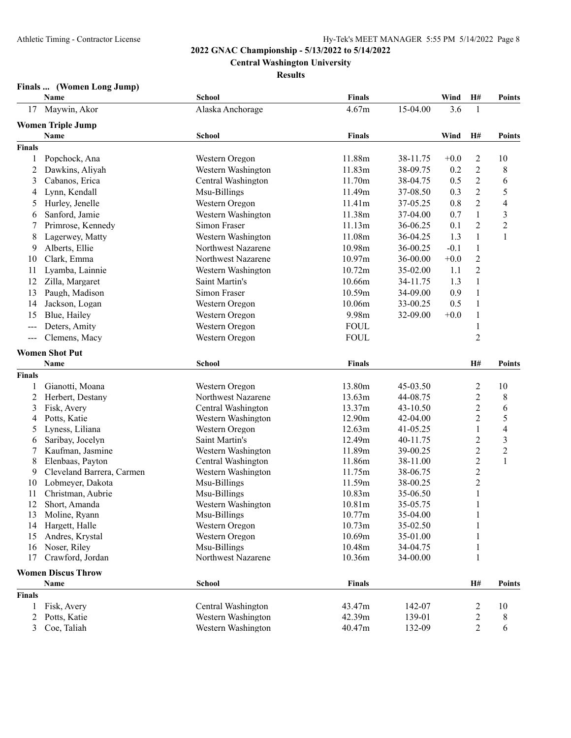**Central Washington University**

**Results**

# **Finals ... (Women Long Jump)**

|               | Name                            | <b>School</b>                            | <b>Finals</b>    |                      | Wind   | H#                               | <b>Points</b>            |
|---------------|---------------------------------|------------------------------------------|------------------|----------------------|--------|----------------------------------|--------------------------|
| 17            | Maywin, Akor                    | Alaska Anchorage                         | 4.67m            | 15-04.00             | 3.6    | 1                                |                          |
|               | <b>Women Triple Jump</b>        |                                          |                  |                      |        |                                  |                          |
|               | Name                            | School                                   | <b>Finals</b>    |                      | Wind   | H#                               | <b>Points</b>            |
| <b>Finals</b> |                                 |                                          |                  |                      |        |                                  |                          |
| 1             | Popchock, Ana                   | Western Oregon                           | 11.88m           | 38-11.75             | $+0.0$ | 2                                | 10                       |
| 2             | Dawkins, Aliyah                 | Western Washington                       | 11.83m           | 38-09.75             | 0.2    | $\overline{2}$                   | 8                        |
| 3             | Cabanos, Erica                  | Central Washington                       | 11.70m           | 38-04.75             | 0.5    | $\overline{2}$                   | 6                        |
| 4             | Lynn, Kendall                   | Msu-Billings                             | 11.49m           | 37-08.50             | 0.3    | $\overline{2}$                   | 5                        |
| 5             | Hurley, Jenelle                 | Western Oregon                           | 11.41m           | 37-05.25             | 0.8    | $\overline{2}$                   | $\overline{\mathcal{A}}$ |
| 6             | Sanford, Jamie                  | Western Washington                       | 11.38m           | 37-04.00             | 0.7    | $\mathbf{1}$                     | 3                        |
| 7             | Primrose, Kennedy               | Simon Fraser                             | 11.13m           | 36-06.25             | 0.1    | $\overline{2}$                   | $\overline{2}$           |
| 8             | Lagerwey, Matty                 | Western Washington                       | 11.08m           | 36-04.25             | 1.3    | $\mathbf{1}$                     | $\mathbf{1}$             |
| 9             | Alberts, Ellie                  | Northwest Nazarene                       | 10.98m           | 36-00.25             | $-0.1$ | $\mathbf{1}$                     |                          |
| 10            | Clark, Emma                     | Northwest Nazarene                       | 10.97m           | 36-00.00             | $+0.0$ | $\overline{2}$                   |                          |
| 11            | Lyamba, Lainnie                 | Western Washington                       | 10.72m           | 35-02.00             | 1.1    | $\overline{2}$                   |                          |
| 12            | Zilla, Margaret                 | Saint Martin's                           | 10.66m           | 34-11.75             | 1.3    | $\mathbf{1}$                     |                          |
| 13            | Paugh, Madison                  | Simon Fraser                             | 10.59m           | 34-09.00             | 0.9    | $\mathbf{1}$                     |                          |
| 14            | Jackson, Logan                  | Western Oregon                           | 10.06m           | 33-00.25             | 0.5    | $\mathbf{1}$                     |                          |
| 15            | Blue, Hailey                    | Western Oregon                           | 9.98m            | 32-09.00             | $+0.0$ | $\mathbf{1}$                     |                          |
| $\sim$ $\sim$ | Deters, Amity                   | Western Oregon                           | <b>FOUL</b>      |                      |        | $\mathbf{1}$                     |                          |
| $\frac{1}{2}$ | Clemens, Macy                   | Western Oregon                           | <b>FOUL</b>      |                      |        | $\overline{2}$                   |                          |
|               |                                 |                                          |                  |                      |        |                                  |                          |
|               | <b>Women Shot Put</b>           |                                          |                  |                      |        |                                  |                          |
|               | Name                            | <b>School</b>                            | <b>Finals</b>    |                      |        | H#                               | <b>Points</b>            |
| <b>Finals</b> |                                 |                                          |                  |                      |        |                                  |                          |
| 1             | Gianotti, Moana                 | Western Oregon                           | 13.80m           | 45-03.50             |        | $\overline{c}$                   | 10                       |
| 2             | Herbert, Destany<br>Fisk, Avery | Northwest Nazarene<br>Central Washington | 13.63m<br>13.37m | 44-08.75<br>43-10.50 |        | $\overline{c}$<br>$\overline{2}$ | 8<br>6                   |
| 3<br>4        | Potts, Katie                    | Western Washington                       | 12.90m           | 42-04.00             |        | $\overline{2}$                   | 5                        |
| 5             | Lyness, Liliana                 | Western Oregon                           | 12.63m           | 41-05.25             |        | $\mathbf{1}$                     | $\overline{\mathcal{A}}$ |
| 6             | Saribay, Jocelyn                | Saint Martin's                           | 12.49m           | 40-11.75             |        | $\overline{c}$                   | 3                        |
| 7             | Kaufman, Jasmine                | Western Washington                       | 11.89m           | 39-00.25             |        | $\overline{c}$                   | $\overline{c}$           |
| 8             | Elenbaas, Payton                | Central Washington                       | 11.86m           | 38-11.00             |        | $\overline{c}$                   | 1                        |
| 9             | Cleveland Barrera, Carmen       | Western Washington                       | 11.75m           | 38-06.75             |        | $\overline{c}$                   |                          |
| 10            | Lobmeyer, Dakota                | Msu-Billings                             | 11.59m           | 38-00.25             |        | $\overline{c}$                   |                          |
| 11            | Christman, Aubrie               | Msu-Billings                             | 10.83m           | 35-06.50             |        | $\mathbf{1}$                     |                          |
| 12            | Short, Amanda                   | Western Washington                       | 10.81m           | 35-05.75             |        | 1                                |                          |
| 13            | Moline, Ryann                   | Msu-Billings                             | 10.77m           | 35-04.00             |        | 1                                |                          |
| 14            | Hargett, Halle                  | Western Oregon                           | 10.73m           | 35-02.50             |        | 1                                |                          |
| 15            | Andres, Krystal                 | Western Oregon                           | 10.69m           | 35-01.00             |        |                                  |                          |
| 16            | Noser, Riley                    | Msu-Billings                             | 10.48m           | 34-04.75             |        | 1                                |                          |
| 17            | Crawford, Jordan                | Northwest Nazarene                       | 10.36m           | 34-00.00             |        | $\mathbf{1}$                     |                          |
|               | <b>Women Discus Throw</b>       |                                          |                  |                      |        |                                  |                          |
|               | Name                            | <b>School</b>                            | <b>Finals</b>    |                      |        | H#                               | Points                   |
| <b>Finals</b> |                                 |                                          |                  |                      |        |                                  |                          |
| 1             | Fisk, Avery                     | Central Washington                       | 43.47m           | 142-07               |        | 2                                | 10                       |
| 2             | Potts, Katie                    | Western Washington                       | 42.39m           | 139-01               |        | $\overline{c}$                   | 8                        |
| 3             | Coe, Taliah                     | Western Washington                       | 40.47m           | 132-09               |        | $\overline{2}$                   | 6                        |
|               |                                 |                                          |                  |                      |        |                                  |                          |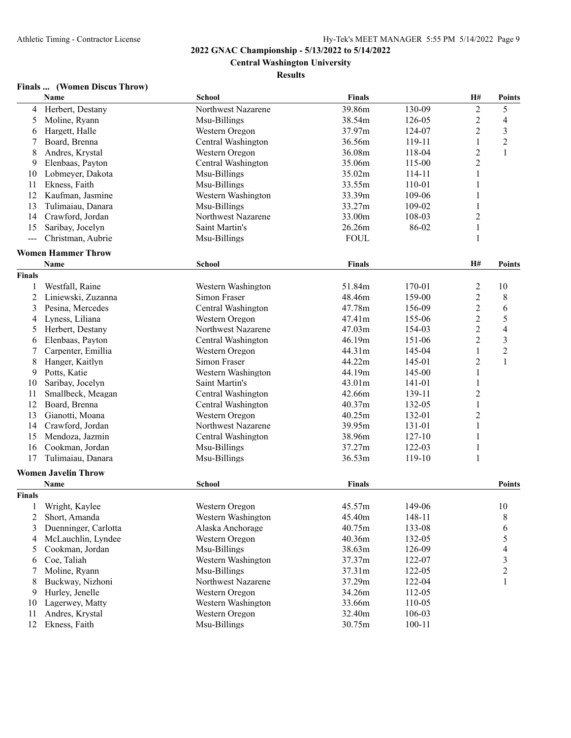**Central Washington University**

### **Results**

# **Finals ... (Women Discus Throw)**

|               | Name                       | <b>School</b>      | <b>Finals</b> |            | H#             | <b>Points</b>            |
|---------------|----------------------------|--------------------|---------------|------------|----------------|--------------------------|
| 4             | Herbert, Destany           | Northwest Nazarene | 39.86m        | 130-09     | $\overline{2}$ | 5                        |
| 5             | Moline, Ryann              | Msu-Billings       | 38.54m        | 126-05     | $\overline{c}$ | $\overline{4}$           |
| 6             | Hargett, Halle             | Western Oregon     | 37.97m        | 124-07     | $\overline{2}$ | $\mathfrak{Z}$           |
| 7             | Board, Brenna              | Central Washington | 36.56m        | 119-11     | $\mathbf{1}$   | $\overline{2}$           |
| 8             | Andres, Krystal            | Western Oregon     | 36.08m        | 118-04     | $\overline{2}$ | $\mathbf{1}$             |
| 9             | Elenbaas, Payton           | Central Washington | 35.06m        | 115-00     | $\overline{2}$ |                          |
| 10            | Lobmeyer, Dakota           | Msu-Billings       | 35.02m        | 114-11     | $\mathbf{1}$   |                          |
| 11            | Ekness, Faith              | Msu-Billings       | 33.55m        | 110-01     | 1              |                          |
| 12            | Kaufman, Jasmine           | Western Washington | 33.39m        | 109-06     | 1              |                          |
| 13            | Tulimaiau, Danara          | Msu-Billings       | 33.27m        | 109-02     | $\mathbf{1}$   |                          |
| 14            | Crawford, Jordan           | Northwest Nazarene | 33.00m        | 108-03     | $\overline{2}$ |                          |
| 15            | Saribay, Jocelyn           | Saint Martin's     | 26.26m        | 86-02      | $\,1$          |                          |
| $\frac{1}{2}$ | Christman, Aubrie          | Msu-Billings       | <b>FOUL</b>   |            | $\mathbf{1}$   |                          |
|               | <b>Women Hammer Throw</b>  |                    |               |            |                |                          |
|               |                            |                    |               |            |                |                          |
|               | Name                       | <b>School</b>      | <b>Finals</b> |            | H#             | <b>Points</b>            |
| <b>Finals</b> |                            |                    |               |            |                |                          |
| 1             | Westfall, Raine            | Western Washington | 51.84m        | 170-01     | $\overline{2}$ | 10                       |
| 2             | Liniewski, Zuzanna         | Simon Fraser       | 48.46m        | 159-00     | $\overline{2}$ | 8                        |
| 3             | Pesina, Mercedes           | Central Washington | 47.78m        | 156-09     | $\overline{2}$ | 6                        |
| 4             | Lyness, Liliana            | Western Oregon     | 47.41m        | 155-06     | $\overline{2}$ | 5                        |
| 5             | Herbert, Destany           | Northwest Nazarene | 47.03m        | 154-03     | $\overline{2}$ | $\overline{4}$           |
| 6             | Elenbaas, Payton           | Central Washington | 46.19m        | 151-06     | $\overline{2}$ | $\overline{3}$           |
| 7             | Carpenter, Emillia         | Western Oregon     | 44.31m        | 145-04     | $\mathbf{1}$   | $\overline{c}$           |
| 8             | Hanger, Kaitlyn            | Simon Fraser       | 44.22m        | 145-01     | $\overline{2}$ | $\mathbf{1}$             |
| 9             | Potts, Katie               | Western Washington | 44.19m        | 145-00     | $\mathbf{1}$   |                          |
| 10            | Saribay, Jocelyn           | Saint Martin's     | 43.01m        | 141-01     | $\mathbf{1}$   |                          |
| 11            | Smallbeck, Meagan          | Central Washington | 42.66m        | 139-11     | $\overline{2}$ |                          |
| 12            | Board, Brenna              | Central Washington | 40.37m        | 132-05     | $\mathbf{1}$   |                          |
| 13            | Gianotti, Moana            | Western Oregon     | 40.25m        | 132-01     | $\overline{2}$ |                          |
| 14            | Crawford, Jordan           | Northwest Nazarene | 39.95m        | 131-01     | $\mathbf{1}$   |                          |
| 15            | Mendoza, Jazmin            | Central Washington | 38.96m        | $127 - 10$ | $\mathbf{1}$   |                          |
| 16            | Cookman, Jordan            | Msu-Billings       | 37.27m        | 122-03     | $\mathbf{1}$   |                          |
| 17            | Tulimaiau, Danara          | Msu-Billings       | 36.53m        | 119-10     | $\mathbf{1}$   |                          |
|               | <b>Women Javelin Throw</b> |                    |               |            |                |                          |
|               | Name                       | <b>School</b>      | <b>Finals</b> |            |                | <b>Points</b>            |
| <b>Finals</b> |                            |                    |               |            |                |                          |
| 1             | Wright, Kaylee             | Western Oregon     | 45.57m        | 149-06     |                | 10                       |
| 2             | Short, Amanda              | Western Washington | 45.40m        | 148-11     |                | 8                        |
| 3             | Duenninger, Carlotta       | Alaska Anchorage   | 40.75m        | 133-08     |                | 6                        |
| 4             | McLauchlin, Lyndee         | Western Oregon     | 40.36m        | 132-05     |                | 5                        |
|               | Cookman, Jordan            |                    | 38.63m        |            |                |                          |
| 5             |                            | Msu-Billings       |               | 126-09     |                | $\overline{\mathcal{A}}$ |
| 6             | Coe, Taliah                | Western Washington | 37.37m        | 122-07     |                | $\mathfrak{Z}$           |
| 7             | Moline, Ryann              | Msu-Billings       | 37.31m        | 122-05     |                | $\overline{c}$           |
| 8             | Buckway, Nizhoni           | Northwest Nazarene | 37.29m        | 122-04     |                | 1                        |
| 9             | Hurley, Jenelle            | Western Oregon     | 34.26m        | 112-05     |                |                          |
| 10            | Lagerwey, Matty            | Western Washington | 33.66m        | 110-05     |                |                          |
| 11            | Andres, Krystal            | Western Oregon     | 32.40m        | 106-03     |                |                          |
| 12            | Ekness, Faith              | Msu-Billings       | 30.75m        | $100 - 11$ |                |                          |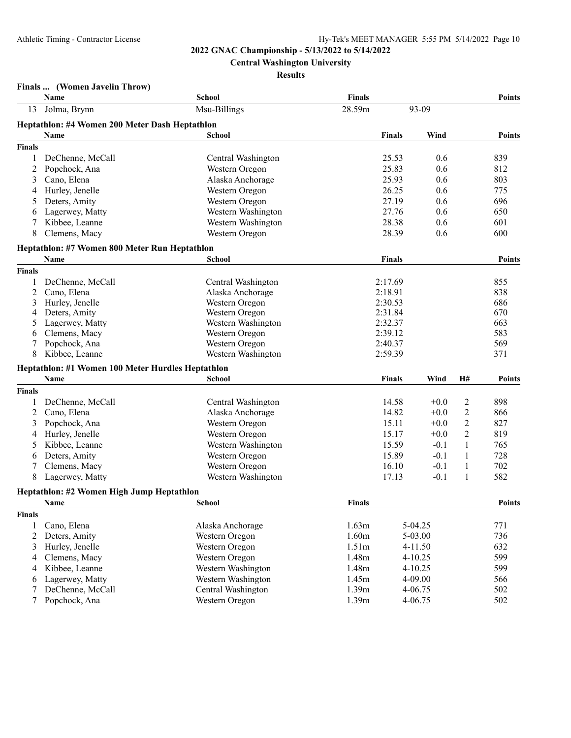**Central Washington University**

### **Results**

# **Finals ... (Women Javelin Throw)**

|               | Name                                              | School             | <b>Finals</b>     |               |             |                | <b>Points</b> |
|---------------|---------------------------------------------------|--------------------|-------------------|---------------|-------------|----------------|---------------|
| 13            | Jolma, Brynn                                      | Msu-Billings       | 28.59m            |               | 93-09       |                |               |
|               | Heptathlon: #4 Women 200 Meter Dash Heptathlon    |                    |                   |               |             |                |               |
|               | <b>Name</b>                                       | <b>School</b>      |                   | <b>Finals</b> | Wind        |                | <b>Points</b> |
| <b>Finals</b> |                                                   |                    |                   |               |             |                |               |
| 1             | DeChenne, McCall                                  | Central Washington |                   | 25.53         | 0.6         |                | 839           |
| 2             | Popchock, Ana                                     | Western Oregon     |                   | 25.83         | 0.6         |                | 812           |
| 3             | Cano, Elena                                       | Alaska Anchorage   |                   | 25.93         | 0.6         |                | 803           |
| 4             | Hurley, Jenelle                                   | Western Oregon     |                   | 26.25         | 0.6         |                | 775           |
| 5             | Deters, Amity                                     | Western Oregon     |                   | 27.19         | 0.6         |                | 696           |
| 6             | Lagerwey, Matty                                   | Western Washington |                   | 27.76         | 0.6         |                | 650           |
| 7             | Kibbee, Leanne                                    | Western Washington |                   | 28.38         | 0.6         |                | 601           |
| 8             | Clemens, Macy                                     | Western Oregon     |                   | 28.39         | 0.6         |                | 600           |
|               | Heptathlon: #7 Women 800 Meter Run Heptathlon     |                    |                   |               |             |                |               |
|               | Name                                              | <b>School</b>      |                   | <b>Finals</b> |             |                | <b>Points</b> |
| <b>Finals</b> |                                                   |                    |                   |               |             |                |               |
| 1             | DeChenne, McCall                                  | Central Washington |                   | 2:17.69       |             |                | 855           |
| 2             | Cano, Elena                                       | Alaska Anchorage   |                   | 2:18.91       |             |                | 838           |
| 3             | Hurley, Jenelle                                   | Western Oregon     |                   | 2:30.53       |             |                | 686           |
| 4             | Deters, Amity                                     | Western Oregon     |                   | 2:31.84       |             |                | 670           |
| 5             | Lagerwey, Matty                                   | Western Washington |                   | 2:32.37       |             |                | 663           |
| 6             | Clemens, Macy                                     | Western Oregon     |                   | 2:39.12       |             |                | 583           |
| 7             | Popchock, Ana                                     | Western Oregon     |                   | 2:40.37       |             |                | 569           |
| 8             | Kibbee, Leanne                                    | Western Washington |                   | 2:59.39       |             |                | 371           |
|               | Heptathlon: #1 Women 100 Meter Hurdles Heptathlon |                    |                   |               |             |                |               |
|               | Name                                              | School             |                   | <b>Finals</b> | Wind        | H#             | <b>Points</b> |
| <b>Finals</b> |                                                   |                    |                   |               |             |                |               |
| -1            | DeChenne, McCall                                  | Central Washington |                   | 14.58         | $+0.0$      | 2              | 898           |
| 2             | Cano, Elena                                       | Alaska Anchorage   |                   | 14.82         | $+0.0$      | $\overline{2}$ | 866           |
| 3             | Popchock, Ana                                     | Western Oregon     |                   | 15.11         | $+0.0$      | $\overline{c}$ | 827           |
| 4             | Hurley, Jenelle                                   | Western Oregon     |                   | 15.17         | $+0.0$      | $\overline{2}$ | 819           |
| 5             | Kibbee, Leanne                                    | Western Washington |                   | 15.59         | $-0.1$      | 1              | 765           |
| 6             | Deters, Amity                                     | Western Oregon     |                   | 15.89         | $-0.1$      | 1              | 728           |
| 7             | Clemens, Macy                                     | Western Oregon     |                   | 16.10         | $-0.1$      | 1              | 702           |
| 8             | Lagerwey, Matty                                   | Western Washington |                   | 17.13         | $-0.1$      | $\mathbf{1}$   | 582           |
|               | Heptathlon: #2 Women High Jump Heptathlon         |                    |                   |               |             |                |               |
|               | <b>Name</b>                                       | School             | <b>Finals</b>     |               |             |                | <b>Points</b> |
| <b>Finals</b> |                                                   |                    |                   |               |             |                |               |
| 1             | Cano, Elena                                       | Alaska Anchorage   | 1.63m             |               | 5-04.25     |                | 771           |
| 2             | Deters, Amity                                     | Western Oregon     | 1.60m             |               | 5-03.00     |                | 736           |
| 3             | Hurley, Jenelle                                   | Western Oregon     | 1.51 <sub>m</sub> |               | 4-11.50     |                | 632           |
| 4             | Clemens, Macy                                     | Western Oregon     | 1.48m             |               | $4 - 10.25$ |                | 599           |
| 4             | Kibbee, Leanne                                    | Western Washington | 1.48m             |               | 4-10.25     |                | 599           |
| 6             | Lagerwey, Matty                                   | Western Washington | 1.45m             |               | 4-09.00     |                | 566           |
| 7             | DeChenne, McCall                                  | Central Washington | 1.39m             |               | 4-06.75     |                | 502           |
| $\tau$        | Popchock, Ana                                     | Western Oregon     | 1.39m             |               | 4-06.75     |                | 502           |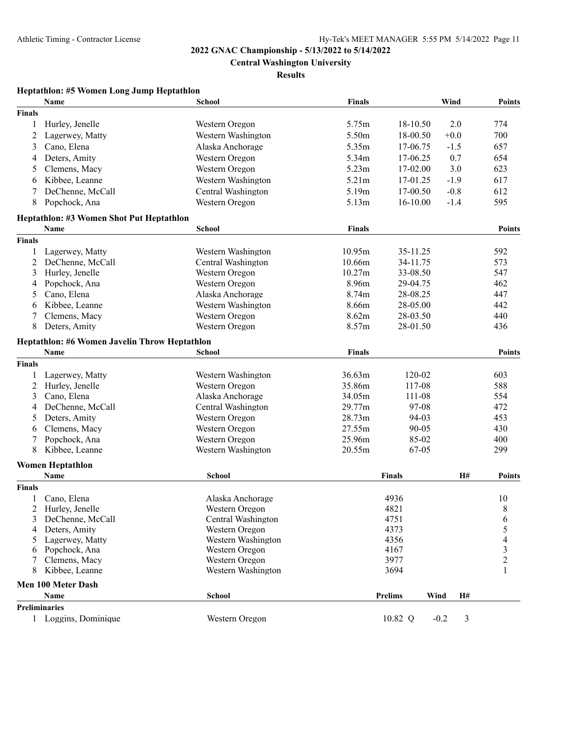**Central Washington University**

**Results**

# **Heptathlon: #5 Women Long Jump Heptathlon**

|               | Name                                          | <b>School</b>      | <b>Finals</b> |                        | Wind        | <b>Points</b> |
|---------------|-----------------------------------------------|--------------------|---------------|------------------------|-------------|---------------|
| <b>Finals</b> |                                               |                    |               |                        |             |               |
| 1             | Hurley, Jenelle                               | Western Oregon     | 5.75m         | 18-10.50               | 2.0         | 774           |
| 2             | Lagerwey, Matty                               | Western Washington | 5.50m         | 18-00.50               | $+0.0$      | 700           |
| 3             | Cano, Elena                                   | Alaska Anchorage   | 5.35m         | 17-06.75               | $-1.5$      | 657           |
| 4             | Deters, Amity                                 | Western Oregon     | 5.34m         | 17-06.25               | 0.7         | 654           |
| 5             | Clemens, Macy                                 | Western Oregon     | 5.23m         | 17-02.00               | 3.0         | 623           |
| 6             | Kibbee, Leanne                                | Western Washington | 5.21m         | 17-01.25               | $-1.9$      | 617           |
| 7             | DeChenne, McCall                              | Central Washington | 5.19m         | 17-00.50               | $-0.8$      | 612           |
| 8             | Popchock, Ana                                 | Western Oregon     | 5.13m         | $16 - 10.00$           | $-1.4$      | 595           |
|               | Heptathlon: #3 Women Shot Put Heptathlon      |                    |               |                        |             |               |
|               | Name                                          | <b>School</b>      | <b>Finals</b> |                        |             | <b>Points</b> |
| <b>Finals</b> |                                               |                    |               |                        |             |               |
| 1             | Lagerwey, Matty                               | Western Washington | 10.95m        | 35-11.25               |             | 592           |
| 2             | DeChenne, McCall                              | Central Washington | 10.66m        | 34-11.75               |             | 573           |
| 3             | Hurley, Jenelle                               | Western Oregon     | 10.27m        | 33-08.50               |             | 547           |
| 4             | Popchock, Ana                                 | Western Oregon     | 8.96m         | 29-04.75               |             | 462           |
| 5             | Cano, Elena                                   | Alaska Anchorage   | 8.74m         | 28-08.25               |             | 447           |
| 6             | Kibbee, Leanne                                | Western Washington | 8.66m         | 28-05.00               |             | 442           |
| 7             | Clemens, Macy                                 | Western Oregon     | 8.62m         | 28-03.50               |             | 440           |
| 8             | Deters, Amity                                 | Western Oregon     | 8.57m         | 28-01.50               |             | 436           |
|               | Heptathlon: #6 Women Javelin Throw Heptathlon |                    |               |                        |             |               |
|               | Name                                          | <b>School</b>      | <b>Finals</b> |                        |             | <b>Points</b> |
| <b>Finals</b> |                                               |                    |               |                        |             |               |
| 1             | Lagerwey, Matty                               | Western Washington | 36.63m        | 120-02                 |             | 603           |
| 2             | Hurley, Jenelle                               | Western Oregon     | 35.86m        | 117-08                 |             | 588           |
| 3             | Cano, Elena                                   | Alaska Anchorage   | 34.05m        | 111-08                 |             | 554           |
| 4             | DeChenne, McCall                              | Central Washington | 29.77m        | 97-08                  |             | 472           |
| 5             | Deters, Amity                                 | Western Oregon     | 28.73m        | 94-03                  |             | 453           |
| 6             | Clemens, Macy                                 | Western Oregon     | 27.55m        | $90 - 05$              |             | 430           |
| 7             | Popchock, Ana                                 | Western Oregon     | 25.96m        | 85-02                  |             | 400           |
| 8             | Kibbee, Leanne                                | Western Washington | 20.55m        | 67-05                  |             | 299           |
|               | <b>Women Heptathlon</b>                       |                    |               |                        |             |               |
|               | <b>Name</b>                                   | School             |               | <b>Finals</b>          | H#          | <b>Points</b> |
| <b>Finals</b> |                                               |                    |               |                        |             |               |
|               | Cano, Elena                                   | Alaska Anchorage   |               | 4936                   |             | 10            |
| 2             | Hurley, Jenelle                               | Western Oregon     |               | 4821                   |             | 8             |
| 3             | DeChenne, McCall                              | Central Washington |               | 4751                   |             | 6             |
| 4             | Deters, Amity                                 | Western Oregon     |               | 4373                   |             | 5             |
| 5             | Lagerwey, Matty                               | Western Washington |               | 4356                   |             | 4             |
| 6             | Popchock, Ana                                 | Western Oregon     |               | 4167                   |             | $\frac{3}{2}$ |
| 7             | Clemens, Macy                                 | Western Oregon     |               | 3977                   |             |               |
| 8             | Kibbee, Leanne                                | Western Washington |               | 3694                   |             |               |
|               | <b>Men 100 Meter Dash</b>                     |                    |               |                        |             |               |
|               | <b>Name</b>                                   | School             |               | <b>Prelims</b><br>Wind | H#          |               |
|               | <b>Preliminaries</b>                          |                    |               |                        |             |               |
|               | 1 Loggins, Dominique                          | Western Oregon     |               | 10.82 Q                | 3<br>$-0.2$ |               |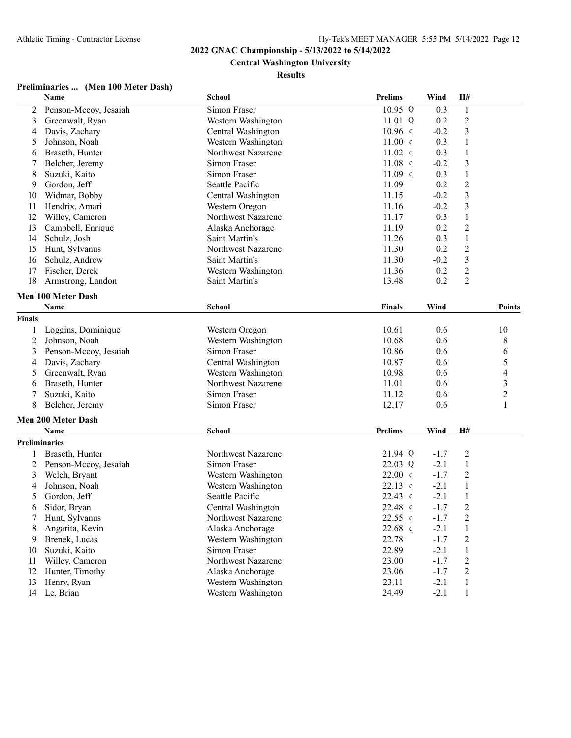# **Central Washington University**

### **Results**

# **Preliminaries ... (Men 100 Meter Dash)**

|                      | Name                      | School             | <b>Prelims</b> | Wind   | H#                      |                          |
|----------------------|---------------------------|--------------------|----------------|--------|-------------------------|--------------------------|
| 2                    | Penson-Mccoy, Jesaiah     | Simon Fraser       | 10.95 Q        | 0.3    | $\,1$                   |                          |
| 3                    | Greenwalt, Ryan           | Western Washington | 11.01 Q        | 0.2    | $\overline{c}$          |                          |
| 4                    | Davis, Zachary            | Central Washington | $10.96$ q      | $-0.2$ | 3                       |                          |
| 5                    | Johnson, Noah             | Western Washington | 11.00 q        | 0.3    | $\mathbf{1}$            |                          |
| 6                    | Braseth, Hunter           | Northwest Nazarene | 11.02 $q$      | 0.3    | $\mathbf{1}$            |                          |
| 7                    | Belcher, Jeremy           | Simon Fraser       | 11.08 q        | $-0.2$ | 3                       |                          |
| 8                    | Suzuki, Kaito             | Simon Fraser       | 11.09 $q$      | 0.3    | $\mathbf{1}$            |                          |
| 9                    | Gordon, Jeff              | Seattle Pacific    | 11.09          | 0.2    | $\overline{c}$          |                          |
| 10                   | Widmar, Bobby             | Central Washington | 11.15          | $-0.2$ | $\overline{\mathbf{3}}$ |                          |
| 11                   | Hendrix, Amari            | Western Oregon     | 11.16          | $-0.2$ | $\mathfrak{Z}$          |                          |
| 12                   | Willey, Cameron           | Northwest Nazarene | 11.17          | 0.3    | $\,1$                   |                          |
| 13                   | Campbell, Enrique         | Alaska Anchorage   | 11.19          | 0.2    | $\overline{c}$          |                          |
| 14                   | Schulz, Josh              | Saint Martin's     | 11.26          | 0.3    | $\mathbf{1}$            |                          |
| 15                   | Hunt, Sylvanus            | Northwest Nazarene | 11.30          | 0.2    | $\boldsymbol{2}$        |                          |
| 16                   | Schulz, Andrew            | Saint Martin's     | 11.30          | $-0.2$ | $\mathfrak{Z}$          |                          |
| 17                   | Fischer, Derek            | Western Washington | 11.36          | 0.2    | $\overline{c}$          |                          |
| 18                   | Armstrong, Landon         | Saint Martin's     | 13.48          | 0.2    | $\overline{2}$          |                          |
|                      | Men 100 Meter Dash        |                    |                |        |                         |                          |
|                      | Name                      | School             | <b>Finals</b>  | Wind   |                         | <b>Points</b>            |
| <b>Finals</b>        |                           |                    |                |        |                         |                          |
| 1                    | Loggins, Dominique        | Western Oregon     | 10.61          | 0.6    |                         | 10                       |
| $\overline{c}$       | Johnson, Noah             | Western Washington | 10.68          | 0.6    |                         | 8                        |
| 3                    | Penson-Mccoy, Jesaiah     | Simon Fraser       | 10.86          | 0.6    |                         | 6                        |
| 4                    | Davis, Zachary            | Central Washington | 10.87          | 0.6    |                         | 5                        |
| 5                    | Greenwalt, Ryan           | Western Washington | 10.98          | 0.6    |                         | $\overline{\mathcal{L}}$ |
| 6                    | Braseth, Hunter           | Northwest Nazarene | 11.01          | 0.6    |                         |                          |
| 7                    | Suzuki, Kaito             | Simon Fraser       | 11.12          | 0.6    |                         | $\frac{3}{2}$            |
| 8                    | Belcher, Jeremy           | Simon Fraser       | 12.17          | 0.6    |                         | $\mathbf{1}$             |
|                      | <b>Men 200 Meter Dash</b> |                    |                |        |                         |                          |
|                      | Name                      | School             | <b>Prelims</b> | Wind   | H#                      |                          |
| <b>Preliminaries</b> |                           |                    |                |        |                         |                          |
|                      | Braseth, Hunter           | Northwest Nazarene | 21.94 Q        | $-1.7$ | $\overline{c}$          |                          |
| $\overline{c}$       | Penson-Mccoy, Jesaiah     | Simon Fraser       | 22.03 Q        | $-2.1$ | $\mathbf{1}$            |                          |
| 3                    | Welch, Bryant             | Western Washington | 22.00 q        | $-1.7$ | $\overline{2}$          |                          |
| 4                    | Johnson, Noah             | Western Washington | 22.13 $q$      | $-2.1$ | $\mathbf{1}$            |                          |
| 5                    | Gordon, Jeff              | Seattle Pacific    | 22.43 q        | $-2.1$ | $\,1$                   |                          |
| 6                    | Sidor, Bryan              | Central Washington | 22.48 q        | $-1.7$ | $\overline{c}$          |                          |
| 7                    | Hunt, Sylvanus            | Northwest Nazarene | 22.55 $q$      | $-1.7$ | 2                       |                          |
| 8                    | Angarita, Kevin           | Alaska Anchorage   | 22.68 q        | $-2.1$ | $\mathbf{1}$            |                          |
| 9                    | Brenek, Lucas             | Western Washington | 22.78          | $-1.7$ | $\overline{c}$          |                          |
| 10                   | Suzuki, Kaito             | Simon Fraser       | 22.89          | $-2.1$ | $\mathbf{1}$            |                          |
| 11                   | Willey, Cameron           | Northwest Nazarene | 23.00          | $-1.7$ | $\overline{c}$          |                          |
| 12                   | Hunter, Timothy           | Alaska Anchorage   | 23.06          | $-1.7$ | $\overline{c}$          |                          |
| 13                   | Henry, Ryan               | Western Washington | 23.11          | $-2.1$ | $\mathbf{1}$            |                          |
|                      | 14 Le, Brian              | Western Washington | 24.49          | $-2.1$ | $\mathbf{1}$            |                          |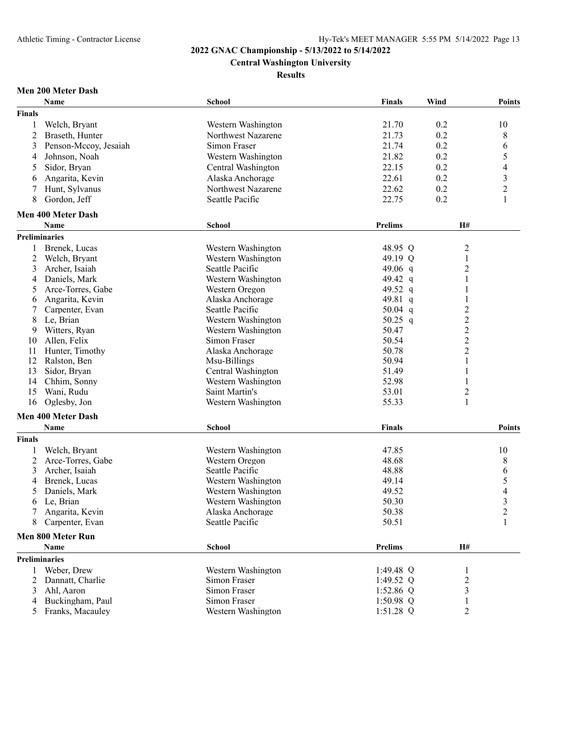**Central Washington University**

**Results**

# **Men 200 Meter Dash**

|               | Name                      | <b>School</b>      | <b>Finals</b>  | Wind           | <b>Points</b>  |
|---------------|---------------------------|--------------------|----------------|----------------|----------------|
| <b>Finals</b> |                           |                    |                |                |                |
|               | Welch, Bryant             | Western Washington | 21.70          | 0.2            | 10             |
| 2             | Braseth, Hunter           | Northwest Nazarene | 21.73          | 0.2            | 8              |
| 3             | Penson-Mccoy, Jesaiah     | Simon Fraser       | 21.74          | 0.2            | 6              |
| 4             | Johnson, Noah             | Western Washington | 21.82          | 0.2            | 5              |
| 5             | Sidor, Bryan              | Central Washington | 22.15          | 0.2            | 4              |
| 6             | Angarita, Kevin           | Alaska Anchorage   | 22.61          | 0.2            | 3              |
| 7             | Hunt, Sylvanus            | Northwest Nazarene | 22.62          | 0.2            | $\overline{2}$ |
| 8             | Gordon, Jeff              | Seattle Pacific    | 22.75          | 0.2            | 1              |
|               | <b>Men 400 Meter Dash</b> |                    |                |                |                |
|               | Name                      | <b>School</b>      | <b>Prelims</b> | H#             |                |
|               | <b>Preliminaries</b>      |                    |                |                |                |
| 1             | Brenek, Lucas             | Western Washington | 48.95 Q        | 2              |                |
| 2             | Welch, Bryant             | Western Washington | 49.19 Q        | 1              |                |
| 3             | Archer, Isaiah            | Seattle Pacific    | 49.06 $q$      | $\overline{c}$ |                |
| 4             | Daniels, Mark             | Western Washington | 49.42 q        | 1              |                |
| 5             | Arce-Torres, Gabe         | Western Oregon     | 49.52 q        | 1              |                |
| 6             | Angarita, Kevin           | Alaska Anchorage   | 49.81 q        | 1              |                |
|               | Carpenter, Evan           | Seattle Pacific    | 50.04 $q$      | 2              |                |
| 8             | Le, Brian                 | Western Washington | 50.25 q        | $\overline{c}$ |                |
| 9             | Witters, Ryan             | Western Washington | 50.47          | $\overline{c}$ |                |
| 10            | Allen, Felix              | Simon Fraser       | 50.54          | $\overline{c}$ |                |
| 11            | Hunter, Timothy           | Alaska Anchorage   | 50.78          | $\overline{2}$ |                |
| 12            | Ralston, Ben              | Msu-Billings       | 50.94          | 1              |                |
| 13            | Sidor, Bryan              | Central Washington | 51.49          | 1              |                |
| 14            | Chhim, Sonny              | Western Washington | 52.98          | 1              |                |
| 15            | Wani, Rudu                | Saint Martin's     | 53.01          | $\overline{c}$ |                |
| 16            | Oglesby, Jon              | Western Washington | 55.33          | 1              |                |
|               | <b>Men 400 Meter Dash</b> |                    |                |                |                |
|               | Name                      | <b>School</b>      | <b>Finals</b>  |                | <b>Points</b>  |
| <b>Finals</b> |                           |                    |                |                |                |
| 1             | Welch, Bryant             | Western Washington | 47.85          |                | 10             |
| 2             | Arce-Torres, Gabe         | Western Oregon     | 48.68          |                | 8              |
| 3             | Archer, Isaiah            | Seattle Pacific    | 48.88          |                | 6              |
| 4             | Brenek, Lucas             | Western Washington | 49.14          |                | 5              |
| 5             | Daniels, Mark             | Western Washington | 49.52          |                | 4              |
| 6             | Le, Brian                 | Western Washington | 50.30          |                | 3              |
| 7             | Angarita, Kevin           | Alaska Anchorage   | 50.38          |                | $\overline{2}$ |
|               | 8 Carpenter, Evan         | Seattle Pacific    | 50.51          |                | 1              |
|               | Men 800 Meter Run         |                    |                |                |                |
|               | <b>Name</b>               | <b>School</b>      | <b>Prelims</b> | H#             |                |
|               | Preliminaries             |                    |                |                |                |
|               | 1 Weber, Drew             | Western Washington | 1:49.48 $Q$    |                |                |
| 2             | Dannatt, Charlie          | Simon Fraser       | 1:49.52 Q      | $\overline{c}$ |                |
| 3             | Ahl, Aaron                | Simon Fraser       | 1:52.86 $Q$    | 3              |                |
| 4             | Buckingham, Paul          | Simon Fraser       | $1:50.98$ Q    |                |                |
| 5             | Franks, Macauley          | Western Washington | 1:51.28 Q      | 2              |                |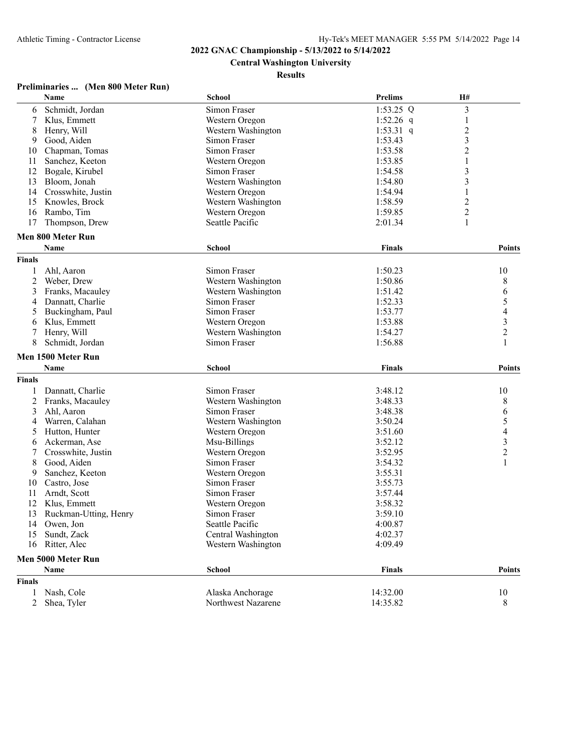**Central Washington University**

### **Results**

# **Preliminaries ... (Men 800 Meter Run)**

|                 | Name                  | <b>School</b>      | <b>Prelims</b> | H#                      |
|-----------------|-----------------------|--------------------|----------------|-------------------------|
| 6               | Schmidt, Jordan       | Simon Fraser       | $1:53.25$ Q    | 3                       |
| 7               | Klus, Emmett          | Western Oregon     | 1:52.26 $q$    | 1                       |
| 8               | Henry, Will           | Western Washington | 1:53.31 q      | $\overline{c}$          |
| 9               | Good, Aiden           | Simon Fraser       | 1:53.43        | 3                       |
| 10              | Chapman, Tomas        | Simon Fraser       | 1:53.58        | $\overline{c}$          |
| 11              | Sanchez, Keeton       | Western Oregon     | 1:53.85        | $\mathbf{1}$            |
| 12              | Bogale, Kirubel       | Simon Fraser       | 1:54.58        | 3                       |
| 13              | Bloom, Jonah          | Western Washington | 1:54.80        | 3                       |
| 14              | Crosswhite, Justin    | Western Oregon     | 1:54.94        | 1                       |
| 15              | Knowles, Brock        | Western Washington | 1:58.59        | 2                       |
| 16              | Rambo, Tim            | Western Oregon     | 1:59.85        | $\overline{\mathbf{c}}$ |
| 17              | Thompson, Drew        | Seattle Pacific    | 2:01.34        | $\mathbf{1}$            |
|                 | Men 800 Meter Run     |                    |                |                         |
|                 | Name                  | <b>School</b>      | <b>Finals</b>  | <b>Points</b>           |
| <b>Finals</b>   |                       |                    |                |                         |
| 1               | Ahl, Aaron            | Simon Fraser       | 1:50.23        | 10                      |
| 2               | Weber, Drew           | Western Washington | 1:50.86        | 8                       |
| 3               | Franks, Macauley      | Western Washington | 1:51.42        | 6                       |
| 4               | Dannatt, Charlie      | Simon Fraser       | 1:52.33        | 5                       |
| 5               | Buckingham, Paul      | Simon Fraser       | 1:53.77        | $\overline{\mathbf{4}}$ |
| 6               | Klus, Emmett          | Western Oregon     | 1:53.88        | 3                       |
| 7               | Henry, Will           | Western Washington | 1:54.27        | $\overline{c}$          |
| 8               | Schmidt, Jordan       | Simon Fraser       | 1:56.88        | $\mathbf{1}$            |
|                 | Men 1500 Meter Run    |                    |                |                         |
|                 | Name                  | <b>School</b>      | <b>Finals</b>  | <b>Points</b>           |
| <b>Finals</b>   |                       |                    |                |                         |
| 1               | Dannatt, Charlie      | Simon Fraser       | 3:48.12        | 10                      |
| 2               | Franks, Macauley      | Western Washington | 3:48.33        | 8                       |
| 3               | Ahl, Aaron            | Simon Fraser       | 3:48.38        | 6                       |
| 4               | Warren, Calahan       | Western Washington | 3:50.24        | 5                       |
| 5               | Hutton, Hunter        | Western Oregon     | 3:51.60        | $\overline{\mathbf{4}}$ |
| 6               | Ackerman, Ase         | Msu-Billings       | 3:52.12        | $\overline{\mathbf{3}}$ |
| 7               | Crosswhite, Justin    | Western Oregon     | 3:52.95        | $\overline{2}$          |
| 8               | Good, Aiden           | Simon Fraser       | 3:54.32        | $\mathbf{1}$            |
| 9               | Sanchez, Keeton       | Western Oregon     | 3:55.31        |                         |
| 10              | Castro, Jose          | Simon Fraser       | 3:55.73        |                         |
| 11              | Arndt, Scott          | Simon Fraser       | 3:57.44        |                         |
| 12              | Klus, Emmett          | Western Oregon     | 3:58.32        |                         |
| 13 <sup>2</sup> | Ruckman-Utting, Henry | Simon Fraser       | 3:59.10        |                         |
| 14              | Owen, Jon             | Seattle Pacific    | 4:00.87        |                         |
| 15              | Sundt, Zack           | Central Washington | 4:02.37        |                         |
| 16              | Ritter, Alec          | Western Washington | 4:09.49        |                         |
|                 | Men 5000 Meter Run    |                    |                |                         |
|                 | Name                  | <b>School</b>      | <b>Finals</b>  | <b>Points</b>           |
| <b>Finals</b>   |                       |                    |                |                         |
| 1               | Nash, Cole            | Alaska Anchorage   | 14:32.00       | 10                      |
| 2               | Shea, Tyler           | Northwest Nazarene | 14:35.82       | 8                       |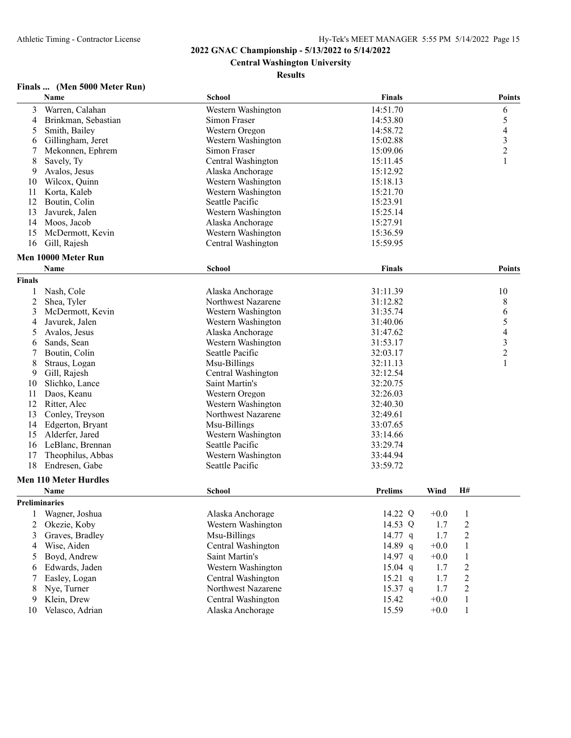**Central Washington University**

### **Results**

# **Finals ... (Men 5000 Meter Run)**

|               | Name                         | <b>School</b>      | <b>Finals</b>  |        |                | <b>Points</b>  |
|---------------|------------------------------|--------------------|----------------|--------|----------------|----------------|
| 3             | Warren, Calahan              | Western Washington | 14:51.70       |        |                | 6              |
| 4             | Brinkman, Sebastian          | Simon Fraser       | 14:53.80       |        |                | 5              |
| 5             | Smith, Bailey                | Western Oregon     | 14:58.72       |        |                | 4              |
| 6             | Gillingham, Jeret            | Western Washington | 15:02.88       |        |                | 3              |
| 7             | Mekonnen, Ephrem             | Simon Fraser       | 15:09.06       |        |                | $\overline{2}$ |
| 8             | Savely, Ty                   | Central Washington | 15:11.45       |        |                | 1              |
| 9             | Avalos, Jesus                | Alaska Anchorage   | 15:12.92       |        |                |                |
| 10            | Wilcox, Quinn                | Western Washington | 15:18.13       |        |                |                |
| 11            | Korta, Kaleb                 | Western Washington | 15:21.70       |        |                |                |
| 12            | Boutin, Colin                | Seattle Pacific    | 15:23.91       |        |                |                |
| 13            | Javurek, Jalen               | Western Washington | 15:25.14       |        |                |                |
| 14            | Moos, Jacob                  | Alaska Anchorage   | 15:27.91       |        |                |                |
| 15            | McDermott, Kevin             | Western Washington | 15:36.59       |        |                |                |
| 16            | Gill, Rajesh                 | Central Washington | 15:59.95       |        |                |                |
|               |                              |                    |                |        |                |                |
|               | Men 10000 Meter Run          |                    |                |        |                |                |
|               | <b>Name</b>                  | School             | Finals         |        |                | <b>Points</b>  |
| <b>Finals</b> |                              |                    |                |        |                |                |
|               | Nash, Cole                   | Alaska Anchorage   | 31:11.39       |        |                | 10             |
| 2             | Shea, Tyler                  | Northwest Nazarene | 31:12.82       |        |                | 8              |
| 3             | McDermott, Kevin             | Western Washington | 31:35.74       |        |                | 6              |
| 4             | Javurek, Jalen               | Western Washington | 31:40.06       |        |                | 5              |
| 5             | Avalos, Jesus                | Alaska Anchorage   | 31:47.62       |        |                | 4              |
| 6             | Sands, Sean                  | Western Washington | 31:53.17       |        |                | 3              |
| 7             | Boutin, Colin                | Seattle Pacific    | 32:03.17       |        |                | $\overline{c}$ |
| 8             | Straus, Logan                | Msu-Billings       | 32:11.13       |        |                | $\mathbf{1}$   |
| 9             | Gill, Rajesh                 | Central Washington | 32:12.54       |        |                |                |
| 10            | Slichko, Lance               | Saint Martin's     | 32:20.75       |        |                |                |
| 11            | Daos, Keanu                  | Western Oregon     | 32:26.03       |        |                |                |
| 12            | Ritter, Alec                 | Western Washington | 32:40.30       |        |                |                |
| 13            | Conley, Treyson              | Northwest Nazarene | 32:49.61       |        |                |                |
| 14            | Edgerton, Bryant             | Msu-Billings       | 33:07.65       |        |                |                |
| 15            | Alderfer, Jared              | Western Washington | 33:14.66       |        |                |                |
| 16            | LeBlanc, Brennan             | Seattle Pacific    | 33:29.74       |        |                |                |
| 17            | Theophilus, Abbas            | Western Washington | 33:44.94       |        |                |                |
| 18            | Endresen, Gabe               | Seattle Pacific    | 33:59.72       |        |                |                |
|               | <b>Men 110 Meter Hurdles</b> |                    |                |        |                |                |
|               |                              |                    |                |        |                |                |
|               | Name                         | <b>School</b>      | <b>Prelims</b> | Wind   | H#             |                |
|               | <b>Preliminaries</b>         |                    |                |        |                |                |
|               | 1 Wagner, Joshua             | Alaska Anchorage   | 14.22 Q        | $+0.0$ | $\mathbf{1}$   |                |
| 2             | Okezie, Koby                 | Western Washington | 14.53 Q        | 1.7    | $\overline{c}$ |                |
| 3             | Graves, Bradley              | Msu-Billings       | 14.77 q        | 1.7    | $\overline{c}$ |                |
| 4             | Wise, Aiden                  | Central Washington | 14.89 q        | $+0.0$ | $\mathbf{1}$   |                |
| 5             | Boyd, Andrew                 | Saint Martin's     | 14.97 q        | $+0.0$ | $\mathbf{1}$   |                |
| 6             | Edwards, Jaden               | Western Washington | $15.04$ q      | 1.7    | $\overline{c}$ |                |
| 7             | Easley, Logan                | Central Washington | $15.21$ q      | 1.7    | $\overline{2}$ |                |
| 8             | Nye, Turner                  | Northwest Nazarene | $15.37$ q      | 1.7    | 2              |                |
| 9             | Klein, Drew                  | Central Washington | 15.42          | $+0.0$ | $\mathbf{1}$   |                |
| 10            | Velasco, Adrian              | Alaska Anchorage   | 15.59          | $+0.0$ | $\mathbf{1}$   |                |
|               |                              |                    |                |        |                |                |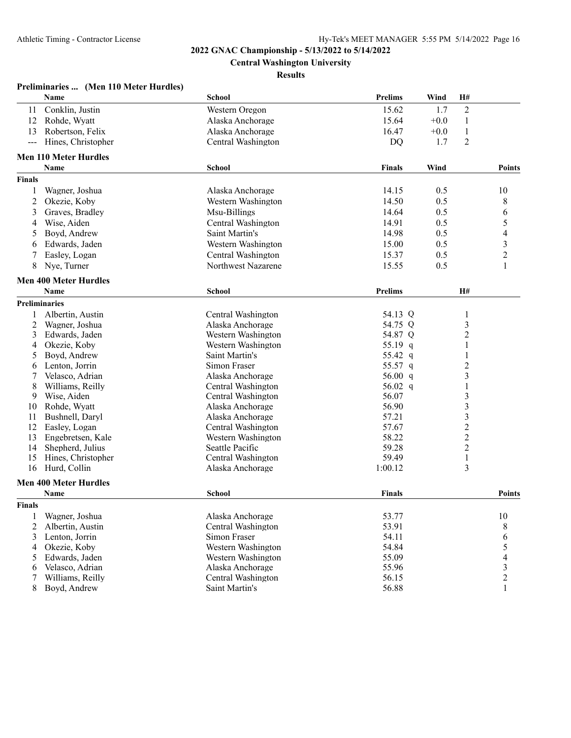**Central Washington University**

### **Results**

| Preliminaries  (Men 110 Meter Hurdles) |  |  |  |
|----------------------------------------|--|--|--|
|----------------------------------------|--|--|--|

|                | Name                                        | School             | <b>Prelims</b> | Wind   | H#             |                          |
|----------------|---------------------------------------------|--------------------|----------------|--------|----------------|--------------------------|
| 11             | Conklin, Justin                             | Western Oregon     | 15.62          | 1.7    | $\overline{2}$ |                          |
| 12             | Rohde, Wyatt                                | Alaska Anchorage   | 15.64          | $+0.0$ | $\mathbf{1}$   |                          |
| 13             | Robertson, Felix                            | Alaska Anchorage   | 16.47          | $+0.0$ | $\mathbf{1}$   |                          |
| ---            | Hines, Christopher                          | Central Washington | <b>DQ</b>      | 1.7    | $\overline{2}$ |                          |
|                | <b>Men 110 Meter Hurdles</b>                |                    |                |        |                |                          |
|                | <b>Name</b>                                 | <b>School</b>      | <b>Finals</b>  | Wind   |                | <b>Points</b>            |
| <b>Finals</b>  |                                             |                    |                |        |                |                          |
| 1              | Wagner, Joshua                              | Alaska Anchorage   | 14.15          | 0.5    |                | 10                       |
| $\overline{c}$ | Okezie, Koby                                | Western Washington | 14.50          | 0.5    |                | 8                        |
| 3              | Graves, Bradley                             | Msu-Billings       | 14.64          | 0.5    |                | 6                        |
| 4              | Wise, Aiden                                 | Central Washington | 14.91          | 0.5    |                | 5                        |
| 5              | Boyd, Andrew                                | Saint Martin's     | 14.98          | 0.5    |                | $\overline{\mathcal{A}}$ |
| 6              | Edwards, Jaden                              | Western Washington | 15.00          | 0.5    |                | 3                        |
|                | Easley, Logan                               | Central Washington | 15.37          | 0.5    |                | $\overline{c}$           |
| 8              | Nye, Turner                                 | Northwest Nazarene | 15.55          | 0.5    |                | $\mathbf{1}$             |
|                |                                             |                    |                |        |                |                          |
|                | <b>Men 400 Meter Hurdles</b><br><b>Name</b> | School             | <b>Prelims</b> |        | H#             |                          |
|                | <b>Preliminaries</b>                        |                    |                |        |                |                          |
|                | Albertin, Austin                            | Central Washington | 54.13 Q        |        |                |                          |
| 1<br>2         | Wagner, Joshua                              | Alaska Anchorage   | 54.75 Q        |        | 1<br>3         |                          |
| 3              | Edwards, Jaden                              | Western Washington | 54.87 Q        |        | $\overline{c}$ |                          |
| 4              | Okezie, Koby                                | Western Washington | 55.19<br>q     |        | 1              |                          |
| 5              | Boyd, Andrew                                | Saint Martin's     | 55.42 q        |        | 1              |                          |
| 6              | Lenton, Jorrin                              | Simon Fraser       | 55.57 q        |        | $\overline{c}$ |                          |
| 7              | Velasco, Adrian                             | Alaska Anchorage   | 56.00 $q$      |        | 3              |                          |
| 8              | Williams, Reilly                            | Central Washington | 56.02 q        |        | 1              |                          |
| 9              | Wise, Aiden                                 | Central Washington | 56.07          |        | 3              |                          |
| 10             | Rohde, Wyatt                                | Alaska Anchorage   | 56.90          |        | 3              |                          |
| 11             | Bushnell, Daryl                             | Alaska Anchorage   | 57.21          |        | 3              |                          |
| 12             | Easley, Logan                               | Central Washington | 57.67          |        | $\overline{c}$ |                          |
| 13             | Engebretsen, Kale                           | Western Washington | 58.22          |        | $\overline{c}$ |                          |
| 14             | Shepherd, Julius                            | Seattle Pacific    | 59.28          |        | $\overline{c}$ |                          |
| 15             | Hines, Christopher                          | Central Washington | 59.49          |        | $\mathbf{1}$   |                          |
| 16             | Hurd, Collin                                | Alaska Anchorage   | 1:00.12        |        | 3              |                          |
|                | <b>Men 400 Meter Hurdles</b>                |                    |                |        |                |                          |
|                | Name                                        | <b>School</b>      | <b>Finals</b>  |        |                | <b>Points</b>            |
| <b>Finals</b>  |                                             |                    |                |        |                |                          |
| 1              | Wagner, Joshua                              | Alaska Anchorage   | 53.77          |        |                | $10\,$                   |
| 2              | Albertin, Austin                            | Central Washington | 53.91          |        |                | $8\,$                    |
| 3              | Lenton, Jorrin                              | Simon Fraser       | 54.11          |        |                | 6                        |
| 4              | Okezie, Koby                                | Western Washington | 54.84          |        |                | 5                        |
| 5              | Edwards, Jaden                              | Western Washington | 55.09          |        |                | $\overline{\mathcal{L}}$ |
| 6              | Velasco, Adrian                             | Alaska Anchorage   | 55.96          |        |                | $\overline{\mathbf{3}}$  |
| 7              | Williams, Reilly                            | Central Washington | 56.15          |        |                | $\overline{c}$           |
| 8              | Boyd, Andrew                                | Saint Martin's     | 56.88          |        |                | 1                        |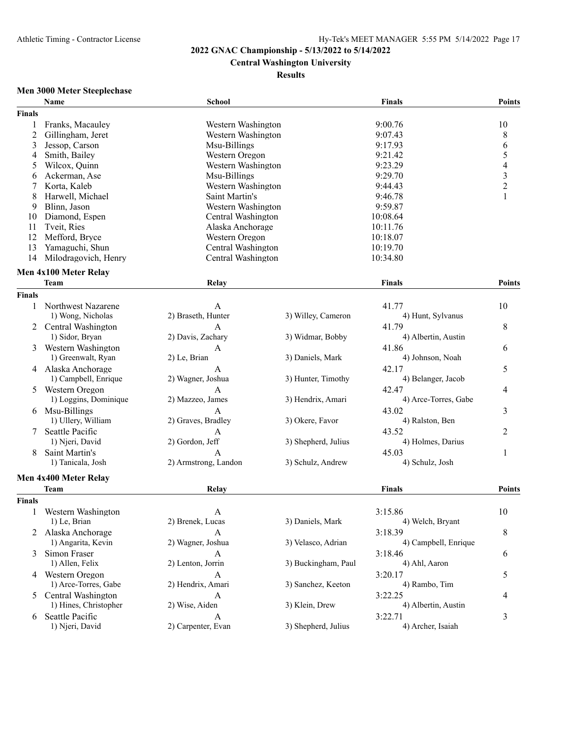# **Central Washington University**

### **Results**

# **Men 3000 Meter Steeplechase**

|                | Name                      | <b>School</b>        |                     | <b>Finals</b>        | <b>Points</b>                              |
|----------------|---------------------------|----------------------|---------------------|----------------------|--------------------------------------------|
| <b>Finals</b>  |                           |                      |                     |                      |                                            |
| 1              | Franks, Macauley          | Western Washington   |                     | 9:00.76              | 10                                         |
| $\overline{c}$ | Gillingham, Jeret         | Western Washington   |                     | 9:07.43              | 8                                          |
| 3              | Jessop, Carson            | Msu-Billings         |                     | 9:17.93              | 6                                          |
| 4              | Smith, Bailey             | Western Oregon       |                     | 9:21.42              | 5                                          |
| 5              | Wilcox, Quinn             | Western Washington   |                     | 9:23.29              |                                            |
| 6              | Ackerman, Ase             | Msu-Billings         |                     | 9:29.70              | $\begin{array}{c} 4 \\ 3 \\ 2 \end{array}$ |
| 7              | Korta, Kaleb              | Western Washington   |                     | 9:44.43              |                                            |
| 8              | Harwell, Michael          | Saint Martin's       |                     | 9:46.78              | $\mathbf{1}$                               |
| 9              | Blinn, Jason              | Western Washington   |                     | 9:59.87              |                                            |
| 10             | Diamond, Espen            | Central Washington   |                     | 10:08.64             |                                            |
| 11             | Tveit, Ries               | Alaska Anchorage     |                     | 10:11.76             |                                            |
| 12             | Mefford, Bryce            | Western Oregon       |                     | 10:18.07             |                                            |
| 13             | Yamaguchi, Shun           | Central Washington   |                     | 10:19.70             |                                            |
| 14             | Milodragovich, Henry      | Central Washington   |                     | 10:34.80             |                                            |
|                |                           |                      |                     |                      |                                            |
|                | Men 4x100 Meter Relay     |                      |                     |                      |                                            |
|                | <b>Team</b>               | Relay                |                     | <b>Finals</b>        | <b>Points</b>                              |
| <b>Finals</b>  |                           |                      |                     |                      |                                            |
| 1              | Northwest Nazarene        | A                    |                     | 41.77                | 10                                         |
|                | 1) Wong, Nicholas         | 2) Braseth, Hunter   | 3) Willey, Cameron  | 4) Hunt, Sylvanus    |                                            |
| 2              | Central Washington        | A                    |                     | 41.79                | 8                                          |
|                | 1) Sidor, Bryan           | 2) Davis, Zachary    | 3) Widmar, Bobby    | 4) Albertin, Austin  |                                            |
| 3              | Western Washington        | A                    |                     | 41.86                | 6                                          |
|                | 1) Greenwalt, Ryan        | 2) Le, Brian         | 3) Daniels, Mark    | 4) Johnson, Noah     |                                            |
|                | 4 Alaska Anchorage        | A                    |                     | 42.17                | 5                                          |
|                | 1) Campbell, Enrique      | 2) Wagner, Joshua    | 3) Hunter, Timothy  | 4) Belanger, Jacob   |                                            |
| 5              | Western Oregon            | A                    |                     | 42.47                | 4                                          |
|                | 1) Loggins, Dominique     | 2) Mazzeo, James     | 3) Hendrix, Amari   | 4) Arce-Torres, Gabe |                                            |
| 6              | Msu-Billings              | A                    |                     | 43.02                | 3                                          |
|                | 1) Ullery, William        | 2) Graves, Bradley   | 3) Okere, Favor     | 4) Ralston, Ben      |                                            |
| 7              | Seattle Pacific           | A                    |                     | 43.52                | $\overline{2}$                             |
|                | 1) Njeri, David           | 2) Gordon, Jeff      | 3) Shepherd, Julius | 4) Holmes, Darius    |                                            |
| 8              | Saint Martin's            | A                    |                     | 45.03                | 1                                          |
|                | 1) Tanicala, Josh         | 2) Armstrong, Landon | 3) Schulz, Andrew   | 4) Schulz, Josh      |                                            |
|                |                           |                      |                     |                      |                                            |
|                | Men 4x400 Meter Relay     |                      |                     |                      |                                            |
|                | <b>Team</b>               | Relay                |                     | <b>Finals</b>        | <b>Points</b>                              |
| <b>Finals</b>  |                           |                      |                     |                      |                                            |
| 1              | Western Washington        | A                    |                     | 3:15.86              | 10                                         |
|                | 1) Le, Brian              | 2) Brenek, Lucas     | 3) Daniels, Mark    | 4) Welch, Bryant     |                                            |
|                | 2 Alaska Anchorage        | A                    |                     | 3:18.39              | 8                                          |
|                | 1) Angarita, Kevin        | 2) Wagner, Joshua    | 3) Velasco, Adrian  | 4) Campbell, Enrique |                                            |
| 3              | Simon Fraser              | A                    |                     | 3:18.46              | 6                                          |
|                | 1) Allen, Felix           | 2) Lenton, Jorrin    | 3) Buckingham, Paul | 4) Ahl, Aaron        |                                            |
|                | 4 Western Oregon          | A                    |                     | 3:20.17              | 5                                          |
|                | 1) Arce-Torres, Gabe      | 2) Hendrix, Amari    | 3) Sanchez, Keeton  | 4) Rambo, Tim        |                                            |
| 5              | <b>Central Washington</b> | A                    |                     | 3:22.25              | 4                                          |
|                | 1) Hines, Christopher     | 2) Wise, Aiden       | 3) Klein, Drew      | 4) Albertin, Austin  |                                            |
| 6              | Seattle Pacific           | A                    |                     | 3:22.71              | 3                                          |
|                | 1) Njeri, David           | 2) Carpenter, Evan   | 3) Shepherd, Julius | 4) Archer, Isaiah    |                                            |
|                |                           |                      |                     |                      |                                            |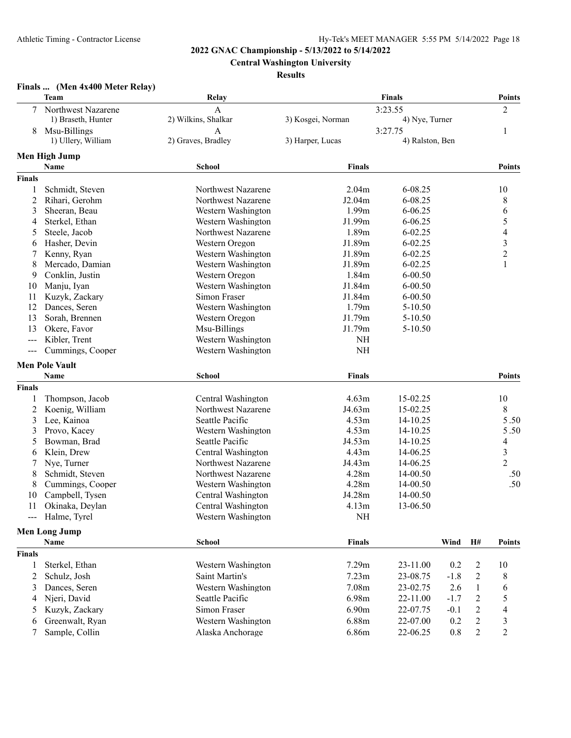**Central Washington University**

### **Results**

| Finals  (Men 4x400 Meter Relay) |  |  |  |  |
|---------------------------------|--|--|--|--|
|---------------------------------|--|--|--|--|

|                | Team                           | Relay                                    |                   | <b>Finals</b>        |        |                  | <b>Points</b>            |
|----------------|--------------------------------|------------------------------------------|-------------------|----------------------|--------|------------------|--------------------------|
| 7              | Northwest Nazarene             | $\overline{A}$                           |                   | 3:23.55              |        |                  | $\overline{2}$           |
|                | 1) Braseth, Hunter             | 2) Wilkins, Shalkar                      | 3) Kosgei, Norman | 4) Nye, Turner       |        |                  |                          |
| 8              | Msu-Billings                   | A                                        |                   | 3:27.75              |        |                  | 1                        |
|                | 1) Ullery, William             | 2) Graves, Bradley                       | 3) Harper, Lucas  | 4) Ralston, Ben      |        |                  |                          |
|                | <b>Men High Jump</b>           |                                          |                   |                      |        |                  |                          |
|                | Name                           | <b>School</b>                            | <b>Finals</b>     |                      |        |                  | <b>Points</b>            |
| <b>Finals</b>  |                                |                                          |                   |                      |        |                  |                          |
| 1              | Schmidt, Steven                | Northwest Nazarene                       | 2.04 <sub>m</sub> | 6-08.25              |        |                  | 10                       |
| $\overline{c}$ | Rihari, Gerohm                 | Northwest Nazarene                       | J2.04m            | 6-08.25              |        |                  | 8                        |
| 3              | Sheeran, Beau                  | Western Washington                       | 1.99 <sub>m</sub> | $6 - 06.25$          |        |                  | 6                        |
| 4              | Sterkel, Ethan                 | Western Washington                       | J1.99m            | $6 - 06.25$          |        |                  | 5                        |
| 5              | Steele, Jacob                  | Northwest Nazarene                       | 1.89m             | $6 - 02.25$          |        |                  | $\overline{\mathcal{L}}$ |
| 6              | Hasher, Devin                  | Western Oregon                           | J1.89m            | $6 - 02.25$          |        |                  | 3                        |
| 7              | Kenny, Ryan                    | Western Washington                       | J1.89m            | $6 - 02.25$          |        |                  | $\overline{c}$           |
| 8              | Mercado, Damian                | Western Washington                       | J1.89m            | $6 - 02.25$          |        |                  | $\mathbf{1}$             |
| 9              | Conklin, Justin                | Western Oregon                           | 1.84m             | $6 - 00.50$          |        |                  |                          |
| 10             | Manju, Iyan                    | Western Washington                       | J1.84m            | $6 - 00.50$          |        |                  |                          |
| 11             | Kuzyk, Zackary                 | Simon Fraser                             | J1.84m            | $6 - 00.50$          |        |                  |                          |
| 12             | Dances, Seren                  | Western Washington                       | 1.79m             | 5-10.50              |        |                  |                          |
| 13             | Sorah, Brennen                 | Western Oregon                           | J1.79m            | 5-10.50              |        |                  |                          |
| 13             | Okere, Favor                   | Msu-Billings                             | J1.79m            | 5-10.50              |        |                  |                          |
| $\sim$ $\sim$  | Kibler, Trent                  | Western Washington                       | NH                |                      |        |                  |                          |
| $\sim$ $\sim$  | Cummings, Cooper               | Western Washington                       | NH                |                      |        |                  |                          |
|                | <b>Men Pole Vault</b>          |                                          |                   |                      |        |                  |                          |
|                | Name                           | <b>School</b>                            | <b>Finals</b>     |                      |        |                  | <b>Points</b>            |
| <b>Finals</b>  |                                |                                          |                   |                      |        |                  |                          |
|                |                                |                                          |                   |                      |        |                  |                          |
| 1              | Thompson, Jacob                | Central Washington<br>Northwest Nazarene | 4.63m<br>J4.63m   | 15-02.25<br>15-02.25 |        |                  | 10<br>8                  |
| $\overline{2}$ | Koenig, William<br>Lee, Kainoa | Seattle Pacific                          | 4.53m             |                      |        |                  | 5.50                     |
| 3<br>3         | Provo, Kacey                   | Western Washington                       | 4.53m             | 14-10.25<br>14-10.25 |        |                  | 5.50                     |
| 5              | Bowman, Brad                   | Seattle Pacific                          | J4.53m            | 14-10.25             |        |                  | 4                        |
| 6              | Klein, Drew                    | Central Washington                       | 4.43m             | 14-06.25             |        |                  | $\mathfrak{Z}$           |
| 7              | Nye, Turner                    | Northwest Nazarene                       | J4.43m            | 14-06.25             |        |                  | $\overline{2}$           |
| 8              | Schmidt, Steven                | Northwest Nazarene                       | 4.28m             | 14-00.50             |        |                  | .50                      |
| 8              | Cummings, Cooper               | Western Washington                       | 4.28m             | 14-00.50             |        |                  | .50                      |
| 10             | Campbell, Tysen                | Central Washington                       | J4.28m            | 14-00.50             |        |                  |                          |
| 11             | Okinaka, Deylan                | Central Washington                       | 4.13m             | 13-06.50             |        |                  |                          |
|                | Halme, Tyrel                   | Western Washington                       | $\rm NH$          |                      |        |                  |                          |
| ---            |                                |                                          |                   |                      |        |                  |                          |
|                | <b>Men Long Jump</b>           |                                          |                   |                      |        |                  |                          |
|                | Name                           | <b>School</b>                            | <b>Finals</b>     |                      | Wind   | H#               | <b>Points</b>            |
| <b>Finals</b>  |                                |                                          |                   |                      |        |                  |                          |
| 1              | Sterkel, Ethan                 | Western Washington                       | 7.29m             | 23-11.00             | 0.2    | $\overline{c}$   | 10                       |
| 2              | Schulz, Josh                   | Saint Martin's                           | 7.23m             | 23-08.75             | $-1.8$ | $\overline{c}$   | 8                        |
| 3              | Dances, Seren                  | Western Washington                       | 7.08m             | 23-02.75             | 2.6    | 1                | 6                        |
| 4              | Njeri, David                   | Seattle Pacific                          | 6.98m             | 22-11.00             | $-1.7$ | 2                | 5                        |
| 5              | Kuzyk, Zackary                 | Simon Fraser                             | 6.90m             | 22-07.75             | $-0.1$ | $\overline{c}$   | $\overline{4}$           |
| 6              | Greenwalt, Ryan                | Western Washington                       | 6.88m             | 22-07.00             | 0.2    | $\boldsymbol{2}$ | 3                        |
| 7              | Sample, Collin                 | Alaska Anchorage                         | 6.86m             | 22-06.25             | 0.8    | $\overline{c}$   | $\overline{c}$           |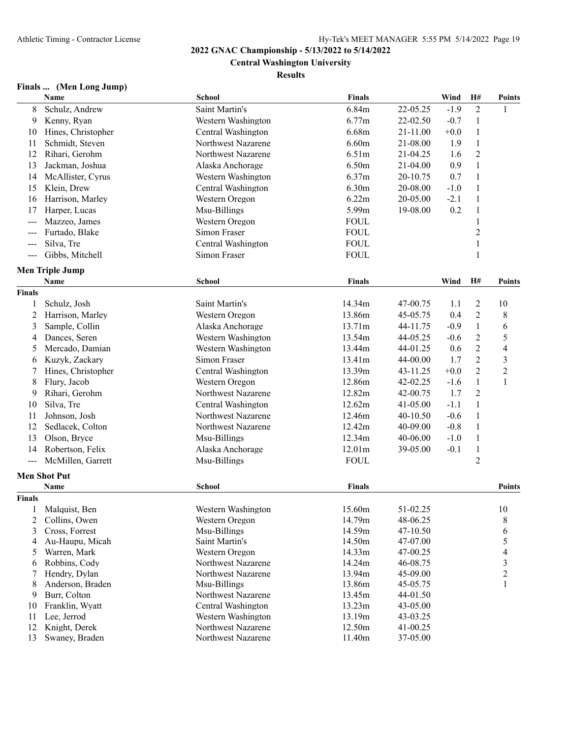**Central Washington University**

### **Results**

# **Finals ... (Men Long Jump)**

|                     | Name                   | <b>School</b>      | Finals        |            | Wind   | H#             | <b>Points</b>  |
|---------------------|------------------------|--------------------|---------------|------------|--------|----------------|----------------|
| 8                   | Schulz, Andrew         | Saint Martin's     | 6.84m         | 22-05.25   | $-1.9$ | $\overline{2}$ | 1              |
| 9                   | Kenny, Ryan            | Western Washington | 6.77m         | 22-02.50   | $-0.7$ | $\mathbf{1}$   |                |
| 10                  | Hines, Christopher     | Central Washington | 6.68m         | 21-11.00   | $+0.0$ | $\mathbf{1}$   |                |
| 11                  | Schmidt, Steven        | Northwest Nazarene | 6.60m         | 21-08.00   | 1.9    | $\mathbf{1}$   |                |
| 12                  | Rihari, Gerohm         | Northwest Nazarene | 6.51m         | 21-04.25   | 1.6    | $\overline{2}$ |                |
| 13                  | Jackman, Joshua        | Alaska Anchorage   | 6.50m         | 21-04.00   | 0.9    | $\mathbf{1}$   |                |
| 14                  | McAllister, Cyrus      | Western Washington | 6.37m         | 20-10.75   | 0.7    | $\mathbf{1}$   |                |
| 15                  | Klein, Drew            | Central Washington | 6.30m         | 20-08.00   | $-1.0$ | $\mathbf{1}$   |                |
| 16                  | Harrison, Marley       | Western Oregon     | 6.22m         | 20-05.00   | $-2.1$ | $\mathbf{1}$   |                |
| 17                  | Harper, Lucas          | Msu-Billings       | 5.99m         | 19-08.00   | 0.2    | $\,1$          |                |
| $---$               | Mazzeo, James          | Western Oregon     | <b>FOUL</b>   |            |        | $\mathbf{1}$   |                |
| $--$                | Furtado, Blake         | Simon Fraser       | <b>FOUL</b>   |            |        | $\overline{c}$ |                |
| $---$               | Silva, Tre             | Central Washington | <b>FOUL</b>   |            |        | $\mathbf{1}$   |                |
| $\frac{1}{2}$       | Gibbs, Mitchell        | Simon Fraser       | <b>FOUL</b>   |            |        | $\mathbf{1}$   |                |
|                     |                        |                    |               |            |        |                |                |
|                     | <b>Men Triple Jump</b> |                    |               |            |        |                |                |
|                     | Name                   | <b>School</b>      | <b>Finals</b> |            | Wind   | H#             | <b>Points</b>  |
| <b>Finals</b>       |                        |                    |               |            |        |                |                |
| 1                   | Schulz, Josh           | Saint Martin's     | 14.34m        | 47-00.75   | 1.1    | 2              | 10             |
| $\overline{c}$      | Harrison, Marley       | Western Oregon     | 13.86m        | 45-05.75   | 0.4    | $\overline{2}$ | 8              |
| 3                   | Sample, Collin         | Alaska Anchorage   | 13.71m        | 44-11.75   | $-0.9$ | $\mathbf{1}$   | 6              |
| 4                   | Dances, Seren          | Western Washington | 13.54m        | 44-05.25   | $-0.6$ | $\overline{2}$ | 5              |
| 5                   | Mercado, Damian        | Western Washington | 13.44m        | 44-01.25   | 0.6    | $\overline{2}$ | $\overline{4}$ |
| 6                   | Kuzyk, Zackary         | Simon Fraser       | 13.41m        | 44-00.00   | 1.7    | $\overline{2}$ | 3              |
| 7                   | Hines, Christopher     | Central Washington | 13.39m        | 43-11.25   | $+0.0$ | $\overline{2}$ | $\overline{2}$ |
| 8                   | Flury, Jacob           | Western Oregon     | 12.86m        | 42-02.25   | $-1.6$ | $\mathbf{1}$   | $\mathbf{1}$   |
| 9                   | Rihari, Gerohm         | Northwest Nazarene | 12.82m        | 42-00.75   | 1.7    | $\overline{2}$ |                |
| 10                  | Silva, Tre             | Central Washington | 12.62m        | 41-05.00   | $-1.1$ | $\mathbf{1}$   |                |
| 11                  | Johnson, Josh          | Northwest Nazarene | 12.46m        | $40-10.50$ | $-0.6$ | $\mathbf{1}$   |                |
| 12                  | Sedlacek, Colton       | Northwest Nazarene | 12.42m        | 40-09.00   | $-0.8$ | 1              |                |
| 13                  | Olson, Bryce           | Msu-Billings       | 12.34m        | 40-06.00   | $-1.0$ | 1              |                |
| 14                  | Robertson, Felix       | Alaska Anchorage   | 12.01m        | 39-05.00   | $-0.1$ | $\mathbf{1}$   |                |
| $\qquad \qquad - -$ | McMillen, Garrett      | Msu-Billings       | <b>FOUL</b>   |            |        | $\overline{2}$ |                |
|                     | <b>Men Shot Put</b>    |                    |               |            |        |                |                |
|                     | Name                   | <b>School</b>      | Finals        |            |        |                | Points         |
| <b>Finals</b>       |                        |                    |               |            |        |                |                |
|                     | Malquist, Ben          | Western Washington | 15.60m        | 51-02.25   |        |                | 10             |
| 2                   | Collins, Owen          | Western Oregon     | 14.79m        | 48-06.25   |        |                | 8              |
| 3                   | Cross, Forrest         | Msu-Billings       | 14.59m        | 47-10.50   |        |                | 6              |
| 4                   | Au-Haupu, Micah        | Saint Martin's     | 14.50m        | 47-07.00   |        |                | 5              |
| 5                   | Warren, Mark           | Western Oregon     | 14.33m        | 47-00.25   |        |                | 4              |
| 6                   | Robbins, Cody          | Northwest Nazarene | 14.24m        | 46-08.75   |        |                | 3              |
| 7                   | Hendry, Dylan          | Northwest Nazarene | 13.94m        | 45-09.00   |        |                | $\overline{c}$ |
| 8                   | Anderson, Braden       | Msu-Billings       | 13.86m        | 45-05.75   |        |                | 1              |
| 9                   | Burr, Colton           | Northwest Nazarene | 13.45m        | 44-01.50   |        |                |                |
| 10                  | Franklin, Wyatt        | Central Washington | 13.23m        | 43-05.00   |        |                |                |
| 11                  | Lee, Jerrod            | Western Washington | 13.19m        | 43-03.25   |        |                |                |
| 12                  | Knight, Derek          | Northwest Nazarene | 12.50m        | 41-00.25   |        |                |                |
| 13                  | Swaney, Braden         | Northwest Nazarene | 11.40m        | 37-05.00   |        |                |                |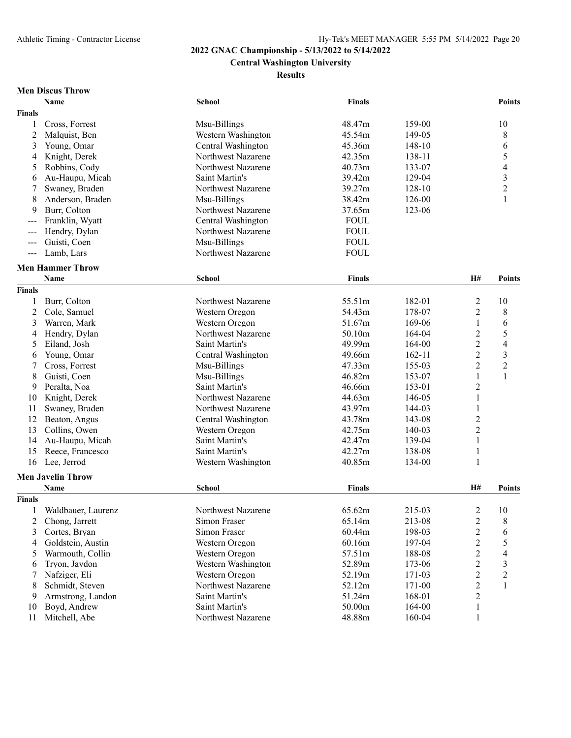# **Central Washington University**

**Results**

# **Men Discus Throw**

|                      | Name                     | <b>School</b>      | Finals        |            |                | Points                  |
|----------------------|--------------------------|--------------------|---------------|------------|----------------|-------------------------|
| <b>Finals</b>        |                          |                    |               |            |                |                         |
| 1                    | Cross, Forrest           | Msu-Billings       | 48.47m        | 159-00     |                | 10                      |
| 2                    | Malquist, Ben            | Western Washington | 45.54m        | 149-05     |                | 8                       |
| 3                    | Young, Omar              | Central Washington | 45.36m        | 148-10     |                | 6                       |
| 4                    | Knight, Derek            | Northwest Nazarene | 42.35m        | 138-11     |                | 5                       |
| 5                    | Robbins, Cody            | Northwest Nazarene | 40.73m        | 133-07     |                | $\overline{4}$          |
| 6                    | Au-Haupu, Micah          | Saint Martin's     | 39.42m        | 129-04     |                | $\overline{\mathbf{3}}$ |
| 7                    | Swaney, Braden           | Northwest Nazarene | 39.27m        | 128-10     |                | $\overline{c}$          |
| 8                    | Anderson, Braden         | Msu-Billings       | 38.42m        | 126-00     |                | $\mathbf{1}$            |
| 9                    | Burr, Colton             | Northwest Nazarene | 37.65m        | 123-06     |                |                         |
| ---                  | Franklin, Wyatt          | Central Washington | <b>FOUL</b>   |            |                |                         |
| $\sim$ $\sim$        | Hendry, Dylan            | Northwest Nazarene | <b>FOUL</b>   |            |                |                         |
| $\sim$ $\sim$        | Guisti, Coen             | Msu-Billings       | <b>FOUL</b>   |            |                |                         |
| $\sim$ $\sim$ $\sim$ | Lamb, Lars               | Northwest Nazarene | <b>FOUL</b>   |            |                |                         |
|                      |                          |                    |               |            |                |                         |
|                      | <b>Men Hammer Throw</b>  |                    |               |            |                |                         |
|                      | Name                     | <b>School</b>      | <b>Finals</b> |            | H#             | Points                  |
| <b>Finals</b>        |                          |                    |               |            |                |                         |
| 1                    | Burr, Colton             | Northwest Nazarene | 55.51m        | 182-01     | $\overline{c}$ | 10                      |
| 2                    | Cole, Samuel             | Western Oregon     | 54.43m        | 178-07     | $\overline{2}$ | 8                       |
| 3                    | Warren, Mark             | Western Oregon     | 51.67m        | 169-06     | $\mathbf{1}$   | 6                       |
| 4                    | Hendry, Dylan            | Northwest Nazarene | 50.10m        | 164-04     | $\overline{c}$ | 5                       |
| 5                    | Eiland, Josh             | Saint Martin's     | 49.99m        | 164-00     | $\overline{2}$ | $\overline{4}$          |
| 6                    | Young, Omar              | Central Washington | 49.66m        | $162 - 11$ | $\overline{2}$ | $\mathfrak{Z}$          |
| 7                    | Cross, Forrest           | Msu-Billings       | 47.33m        | 155-03     | $\overline{2}$ | $\sqrt{2}$              |
| 8                    | Guisti, Coen             | Msu-Billings       | 46.82m        | 153-07     | $\mathbf{1}$   | $\mathbf{1}$            |
| 9                    | Peralta, Noa             | Saint Martin's     | 46.66m        | 153-01     | $\overline{2}$ |                         |
| 10                   | Knight, Derek            | Northwest Nazarene | 44.63m        | 146-05     | $\mathbf{1}$   |                         |
| 11                   | Swaney, Braden           | Northwest Nazarene | 43.97m        | 144-03     | 1              |                         |
| 12                   | Beaton, Angus            | Central Washington | 43.78m        | 143-08     | $\overline{2}$ |                         |
| 13                   | Collins, Owen            | Western Oregon     | 42.75m        | 140-03     | $\overline{2}$ |                         |
| 14                   | Au-Haupu, Micah          | Saint Martin's     | 42.47m        | 139-04     | $\mathbf{1}$   |                         |
| 15                   | Reece, Francesco         | Saint Martin's     | 42.27m        | 138-08     | $\mathbf{1}$   |                         |
| 16                   | Lee, Jerrod              | Western Washington | 40.85m        | 134-00     | $\mathbf{1}$   |                         |
|                      | <b>Men Javelin Throw</b> |                    |               |            |                |                         |
|                      | Name                     | <b>School</b>      | <b>Finals</b> |            | <b>H#</b>      | <b>Points</b>           |
| <b>Finals</b>        |                          |                    |               |            |                |                         |
|                      |                          |                    |               |            |                |                         |
| $\mathbf{1}$         | Waldbauer, Laurenz       | Northwest Nazarene | 65.62m        | 215-03     | 2              | 10                      |
| 2                    | Chong, Jarrett           | Simon Fraser       | 65.14m        | 213-08     | $\overline{c}$ | 8                       |
| 3                    | Cortes, Bryan            | Simon Fraser       | 60.44m        | 198-03     | $\overline{2}$ | 6                       |
| 4                    | Goldstein, Austin        | Western Oregon     | 60.16m        | 197-04     | $\overline{c}$ | 5                       |
| 5                    | Warmouth, Collin         | Western Oregon     | 57.51m        | 188-08     | $\overline{c}$ | $\overline{4}$          |
| 6                    | Tryon, Jaydon            | Western Washington | 52.89m        | 173-06     | $\overline{c}$ | $\mathfrak{Z}$          |
| 7                    | Nafziger, Eli            | Western Oregon     | 52.19m        | 171-03     | $\overline{c}$ | $\sqrt{2}$              |
| 8                    | Schmidt, Steven          | Northwest Nazarene | 52.12m        | 171-00     | $\overline{c}$ | $\mathbf 1$             |
| 9                    | Armstrong, Landon        | Saint Martin's     | 51.24m        | 168-01     | $\overline{c}$ |                         |
| 10                   | Boyd, Andrew             | Saint Martin's     | 50.00m        | 164-00     | $\mathbf{1}$   |                         |
| 11                   | Mitchell, Abe            | Northwest Nazarene | 48.88m        | 160-04     | $\,1$          |                         |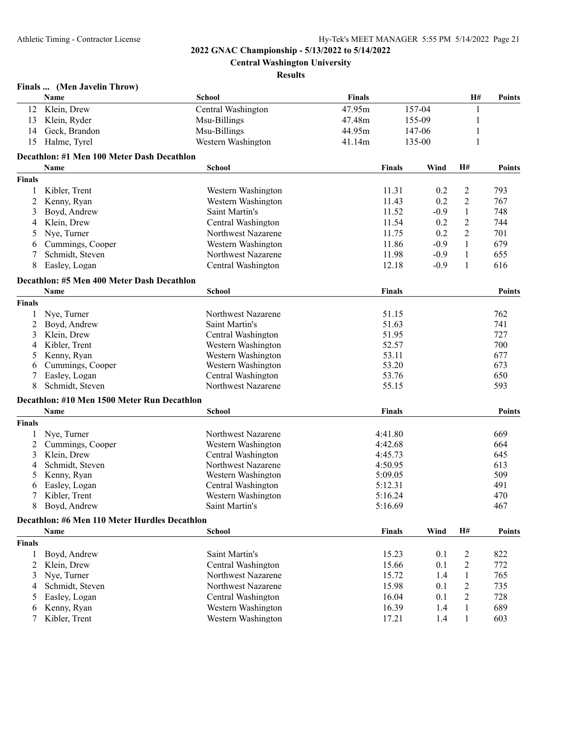**Central Washington University**

#### **Results**

|               | Finals  (Men Javelin Throw)                        |                    |               |               |        |                |               |
|---------------|----------------------------------------------------|--------------------|---------------|---------------|--------|----------------|---------------|
|               | Name                                               | School             | <b>Finals</b> |               |        | H#             | <b>Points</b> |
| 12            | Klein, Drew                                        | Central Washington | 47.95m        |               | 157-04 | 1              |               |
| 13            | Klein, Ryder                                       | Msu-Billings       | 47.48m        |               | 155-09 | 1              |               |
| 14            | Geck, Brandon                                      | Msu-Billings       | 44.95m        |               | 147-06 | 1              |               |
| 15            | Halme, Tyrel                                       | Western Washington | 41.14m        |               | 135-00 | 1              |               |
|               | Decathlon: #1 Men 100 Meter Dash Decathlon         |                    |               |               |        |                |               |
|               | Name                                               | <b>School</b>      |               | <b>Finals</b> | Wind   | H#             | Points        |
| <b>Finals</b> |                                                    |                    |               |               |        |                |               |
| 1             | Kibler, Trent                                      | Western Washington |               | 11.31         | 0.2    | 2              | 793           |
| 2             | Kenny, Ryan                                        | Western Washington |               | 11.43         | 0.2    | $\overline{2}$ | 767           |
| 3             | Boyd, Andrew                                       | Saint Martin's     |               | 11.52         | $-0.9$ | $\mathbf{1}$   | 748           |
| 4             | Klein, Drew                                        | Central Washington |               | 11.54         | 0.2    | $\overline{c}$ | 744           |
| 5             | Nye, Turner                                        | Northwest Nazarene |               | 11.75         | 0.2    | 2              | 701           |
| 6             | Cummings, Cooper                                   | Western Washington |               | 11.86         | $-0.9$ | 1              | 679           |
| 7             | Schmidt, Steven                                    | Northwest Nazarene |               | 11.98         | $-0.9$ |                |               |
|               |                                                    |                    |               |               |        | 1              | 655           |
| 8             | Easley, Logan                                      | Central Washington |               | 12.18         | $-0.9$ | 1              | 616           |
|               | Decathlon: #5 Men 400 Meter Dash Decathlon<br>Name | School             |               | <b>Finals</b> |        |                | <b>Points</b> |
|               |                                                    |                    |               |               |        |                |               |
| <b>Finals</b> |                                                    |                    |               |               |        |                |               |
| 1             | Nye, Turner                                        | Northwest Nazarene |               | 51.15         |        |                | 762           |
| 2             | Boyd, Andrew                                       | Saint Martin's     |               | 51.63         |        |                | 741           |
| 3             | Klein, Drew                                        | Central Washington |               | 51.95         |        |                | 727           |
| 4             | Kibler, Trent                                      | Western Washington |               | 52.57         |        |                | 700           |
| 5             | Kenny, Ryan                                        | Western Washington |               | 53.11         |        |                | 677           |
| 6             | Cummings, Cooper                                   | Western Washington |               | 53.20         |        |                | 673           |
|               | Easley, Logan                                      | Central Washington |               | 53.76         |        |                | 650           |
| 8             | Schmidt, Steven                                    | Northwest Nazarene |               | 55.15         |        |                | 593           |
|               | Decathlon: #10 Men 1500 Meter Run Decathlon        |                    |               |               |        |                |               |
|               | Name                                               | <b>School</b>      |               | <b>Finals</b> |        |                | <b>Points</b> |
| <b>Finals</b> |                                                    |                    |               |               |        |                |               |
| 1             | Nye, Turner                                        | Northwest Nazarene |               | 4:41.80       |        |                | 669           |
| 2             | Cummings, Cooper                                   | Western Washington |               | 4:42.68       |        |                | 664           |
| 3             | Klein, Drew                                        | Central Washington |               | 4:45.73       |        |                | 645           |
| 4             | Schmidt, Steven                                    | Northwest Nazarene |               | 4:50.95       |        |                | 613           |
| 5             | Kenny, Ryan                                        | Western Washington |               | 5:09.05       |        |                | 509           |
| 6             | Easley, Logan                                      | Central Washington |               | 5:12.31       |        |                | 491           |
| $\tau$        | Kibler, Trent                                      | Western Washington |               | 5:16.24       |        |                | 470           |
| 8             | Boyd, Andrew                                       | Saint Martin's     |               | 5:16.69       |        |                | 467           |
|               | Decathlon: #6 Men 110 Meter Hurdles Decathlon      |                    |               |               |        |                |               |
|               | <b>Name</b>                                        | <b>School</b>      |               | <b>Finals</b> | Wind   | <b>H#</b>      | <b>Points</b> |
| <b>Finals</b> |                                                    |                    |               |               |        |                |               |
| 1             | Boyd, Andrew                                       | Saint Martin's     |               | 15.23         | 0.1    | 2              | 822           |
| 2             | Klein, Drew                                        | Central Washington |               | 15.66         | 0.1    | 2              | 772           |
| 3             | Nye, Turner                                        | Northwest Nazarene |               | 15.72         | 1.4    | 1              | 765           |
| 4             | Schmidt, Steven                                    | Northwest Nazarene |               | 15.98         | 0.1    | 2              | 735           |
| 5             | Easley, Logan                                      | Central Washington |               | 16.04         | 0.1    | 2              | 728           |
|               | 6 Kenny, Ryan                                      | Western Washington |               | 16.39         | 1.4    | 1              | 689           |

7 Kibler, Trent Western Washington 17.21 1.4 1 603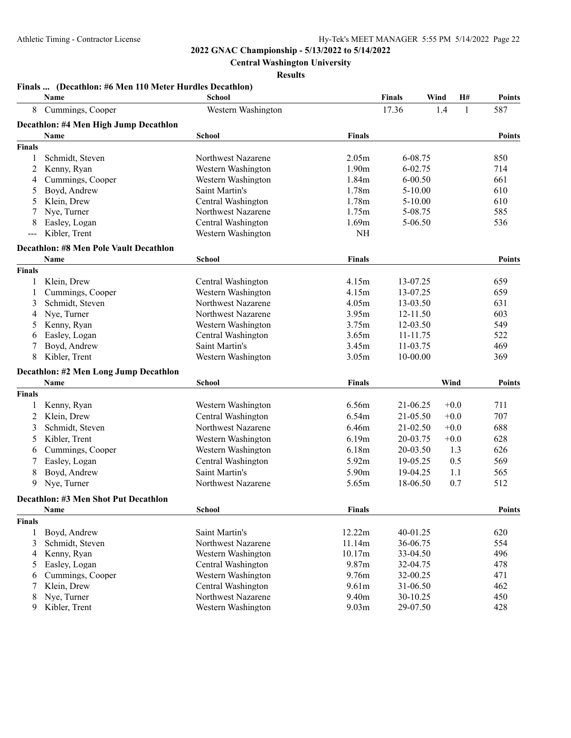**Central Washington University**

**Results**

|                     | Name                                          | School             |                   | <b>Finals</b> | Wind | <b>H#</b> | <b>Points</b> |
|---------------------|-----------------------------------------------|--------------------|-------------------|---------------|------|-----------|---------------|
| 8                   | Cummings, Cooper                              | Western Washington |                   | 17.36         | 1.4  | 1         | 587           |
|                     | Decathlon: #4 Men High Jump Decathlon         |                    |                   |               |      |           |               |
|                     | Name                                          | School             | <b>Finals</b>     |               |      |           | <b>Points</b> |
| <b>Finals</b>       |                                               |                    |                   |               |      |           |               |
|                     | Schmidt, Steven                               | Northwest Nazarene | 2.05m             | 6-08.75       |      |           | 850           |
| 2                   | Kenny, Ryan                                   | Western Washington | 1.90 <sub>m</sub> | 6-02.75       |      |           | 714           |
| 4                   | Cummings, Cooper                              | Western Washington | 1.84m             | $6 - 00.50$   |      |           | 661           |
| 5                   | Boyd, Andrew                                  | Saint Martin's     | 1.78m             | $5 - 10.00$   |      |           | 610           |
| 5                   | Klein, Drew                                   | Central Washington | 1.78m             | $5 - 10.00$   |      |           | 610           |
|                     | Nye, Turner                                   | Northwest Nazarene | 1.75m             | 5-08.75       |      |           | 585           |
| 8                   | Easley, Logan                                 | Central Washington | 1.69m             | 5-06.50       |      |           | 536           |
| $\qquad \qquad - -$ | Kibler, Trent                                 | Western Washington | $\rm NH$          |               |      |           |               |
|                     | <b>Decathlon: #8 Men Pole Vault Decathlon</b> |                    |                   |               |      |           |               |
|                     | Name                                          | <b>School</b>      | <b>Finals</b>     |               |      |           | <b>Points</b> |
| <b>Finals</b>       |                                               |                    |                   |               |      |           |               |
|                     | Klein, Drew                                   | Central Washington | 4.15m             | 13-07.25      |      |           | 659           |
| 1                   | Cummings, Cooper                              | Western Washington | 4.15m             | 13-07.25      |      |           | 659           |
| 3                   | Schmidt, Steven                               | Northwest Nazarene | 4.05m             | 13-03.50      |      |           | 631           |
| 4                   | Nye, Turner                                   | Northwest Nazarene | 3.95m             | 12-11.50      |      |           | 603           |
| 5                   | Kenny, Ryan                                   | Western Washington | 3.75m             | 12-03.50      |      |           | 549           |
| 6                   | Easley, Logan                                 | Central Washington | 3.65m             | 11-11.75      |      |           | 522           |
| 7                   | Boyd, Andrew                                  | Saint Martin's     | 3.45m             | 11-03.75      |      |           | 469           |
| 8                   | Kibler, Trent                                 | Western Washington | 3.05m             | 10-00.00      |      |           | 369           |
|                     | Decathlon: #2 Men Long Jump Decathlon         |                    |                   |               |      |           |               |
|                     | Name                                          | <b>School</b>      | <b>Finals</b>     |               | Wind |           | <b>Points</b> |
| <b>Finals</b>       |                                               |                    |                   |               |      |           |               |
|                     | Kenny, Ryan                                   | Western Washington | 6.56m             | 21-06.25      |      | $+0.0$    | 711           |
| 2                   | Klein, Drew                                   | Central Washington | 6.54m             | 21-05.50      |      | $+0.0$    | 707           |
| 3                   | Schmidt, Steven                               | Northwest Nazarene | 6.46m             | 21-02.50      |      | $+0.0$    | 688           |
| 5                   | Kibler, Trent                                 | Western Washington | 6.19m             | 20-03.75      |      | $+0.0$    | 628           |
| 6                   | Cummings, Cooper                              | Western Washington | 6.18m             | 20-03.50      |      | 1.3       | 626           |
|                     | Easley, Logan                                 | Central Washington | 5.92m             | 19-05.25      |      | 0.5       | 569           |
| 8                   | Boyd, Andrew                                  | Saint Martin's     | 5.90m             | 19-04.25      |      | 1.1       | 565           |
| 9                   | Nye, Turner                                   | Northwest Nazarene | 5.65m             | 18-06.50      |      | 0.7       | 512           |
|                     | Decathlon: #3 Men Shot Put Decathlon          |                    |                   |               |      |           |               |
|                     | Name                                          | School             | <b>Finals</b>     |               |      |           | <b>Points</b> |
| <b>Finals</b>       |                                               |                    |                   |               |      |           |               |
| 1                   | Boyd, Andrew                                  | Saint Martin's     | 12.22m            | 40-01.25      |      |           | 620           |
| 3                   | Schmidt, Steven                               | Northwest Nazarene | 11.14m            | 36-06.75      |      |           | 554           |
| 4                   | Kenny, Ryan                                   | Western Washington | 10.17m            | 33-04.50      |      |           | 496           |
| 5                   | Easley, Logan                                 | Central Washington | 9.87m             | 32-04.75      |      |           | 478           |
| 6                   | Cummings, Cooper                              | Western Washington | 9.76m             | 32-00.25      |      |           | 471           |
| 7                   | Klein, Drew                                   | Central Washington | 9.61 <sub>m</sub> | 31-06.50      |      |           | 462           |
| 8                   | Nye, Turner                                   | Northwest Nazarene | 9.40m             | 30-10.25      |      |           | 450           |
| 9                   | Kibler, Trent                                 | Western Washington | 9.03 <sub>m</sub> | 29-07.50      |      |           | 428           |

#### **Finals ... (Decathlon: #6 Men 110 Meter Hurdles Decathlon)**